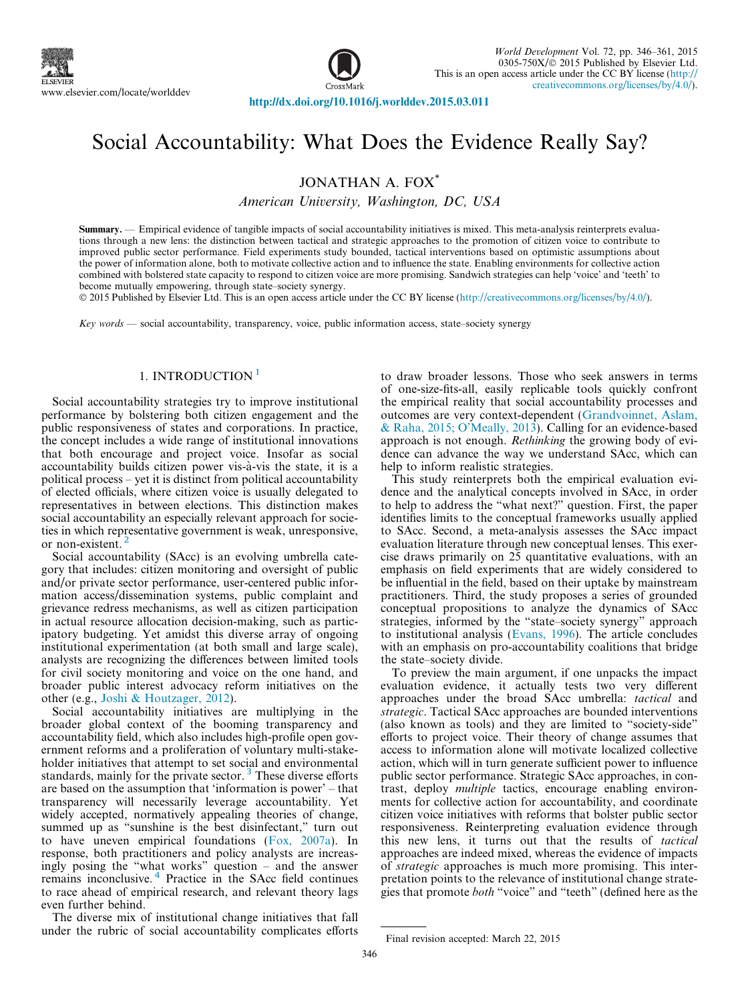<http://dx.doi.org/10.1016/j.worlddev.2015.03.011>

# Social Accountability: What Does the Evidence Really Say?

# JONATHAN A. FOX\*

American University, Washington, DC, USA

Summary. — Empirical evidence of tangible impacts of social accountability initiatives is mixed. This meta-analysis reinterprets evaluations through a new lens: the distinction between tactical and strategic approaches to the promotion of citizen voice to contribute to improved public sector performance. Field experiments study bounded, tactical interventions based on optimistic assumptions about the power of information alone, both to motivate collective action and to influence the state. Enabling environments for collective action combined with bolstered state capacity to respond to citizen voice are more promising. Sandwich strategies can help 'voice' and 'teeth' to become mutually empowering, through state–society synergy.

- 2015 Published by Elsevier Ltd. This is an open access article under the CC BY license [\(http://creativecommons.org/licenses/by/4.0/](http://creativecommons.org/licenses/by/4.0/)).

 $Key words$  — social accountability, transparency, voice, public information access, state–society synergy

# 1. INTRODUCTION<sup>1</sup>

Social accountability strategies try to improve institutional performance by bolstering both citizen engagement and the public responsiveness of states and corporations. In practice, the concept includes a wide range of institutional innovations that both encourage and project voice. Insofar as social accountability builds citizen power vis-a`-vis the state, it is a political process – yet it is distinct from political accountability of elected officials, where citizen voice is usually delegated to representatives in between elections. This distinction makes social accountability an especially relevant approach for societies in which representative government is weak, unresponsive, or non-existent.

Social accountability (SAcc) is an evolving umbrella category that includes: citizen monitoring and oversight of public and/or private sector performance, user-centered public information access/dissemination systems, public complaint and grievance redress mechanisms, as well as citizen participation in actual resource allocation decision-making, such as participatory budgeting. Yet amidst this diverse array of ongoing institutional experimentation (at both small and large scale), analysts are recognizing the differences between limited tools for civil society monitoring and voice on the one hand, and broader public interest advocacy reform initiatives on the other (e.g., [Joshi & Houtzager, 2012\)](#page-14-0).

Social accountability initiatives are multiplying in the broader global context of the booming transparency and accountability field, which also includes high-profile open government reforms and a proliferation of voluntary multi-stakeholder initiatives that attempt to set social and environmental standards, mainly for the private sector.<sup>3</sup> These diverse efforts are based on the assumption that 'information is power' – that transparency will necessarily leverage accountability. Yet widely accepted, normatively appealing theories of change, summed up as "sunshine is the best disinfectant," turn out to have uneven empirical foundations ([Fox, 2007a](#page-13-0)). In response, both practitioners and policy analysts are increasingly posing the "what works" question – and the answer remains inconclusive. <sup>4</sup> Practice in the SAcc field continues to race ahead of empirical research, and relevant theory lags even further behind.

The diverse mix of institutional change initiatives that fall under the rubric of social accountability complicates efforts

to draw broader lessons. Those who seek answers in terms of one-size-fits-all, easily replicable tools quickly confront the empirical reality that social accountability processes and outcomes are very context-dependent [\(Grandvoinnet, Aslam,](#page-13-0) [& Raha, 2015; O'Meally, 2013\)](#page-13-0). Calling for an evidence-based approach is not enough. Rethinking the growing body of evidence can advance the way we understand SAcc, which can help to inform realistic strategies.

This study reinterprets both the empirical evaluation evidence and the analytical concepts involved in SAcc, in order to help to address the "what next?" question. First, the paper identifies limits to the conceptual frameworks usually applied to SAcc. Second, a meta-analysis assesses the SAcc impact evaluation literature through new conceptual lenses. This exercise draws primarily on 25 quantitative evaluations, with an emphasis on field experiments that are widely considered to be influential in the field, based on their uptake by mainstream practitioners. Third, the study proposes a series of grounded conceptual propositions to analyze the dynamics of SAcc strategies, informed by the "state–society synergy" approach to institutional analysis ([Evans, 1996](#page-13-0)). The article concludes with an emphasis on pro-accountability coalitions that bridge the state–society divide.

To preview the main argument, if one unpacks the impact evaluation evidence, it actually tests two very different approaches under the broad SAcc umbrella: tactical and strategic. Tactical SAcc approaches are bounded interventions (also known as tools) and they are limited to "society-side" efforts to project voice. Their theory of change assumes that access to information alone will motivate localized collective action, which will in turn generate sufficient power to influence public sector performance. Strategic SAcc approaches, in contrast, deploy multiple tactics, encourage enabling environments for collective action for accountability, and coordinate citizen voice initiatives with reforms that bolster public sector responsiveness. Reinterpreting evaluation evidence through this new lens, it turns out that the results of tactical approaches are indeed mixed, whereas the evidence of impacts of strategic approaches is much more promising. This interpretation points to the relevance of institutional change strategies that promote both "voice" and "teeth" (defined here as the

Final revision accepted: March 22, 2015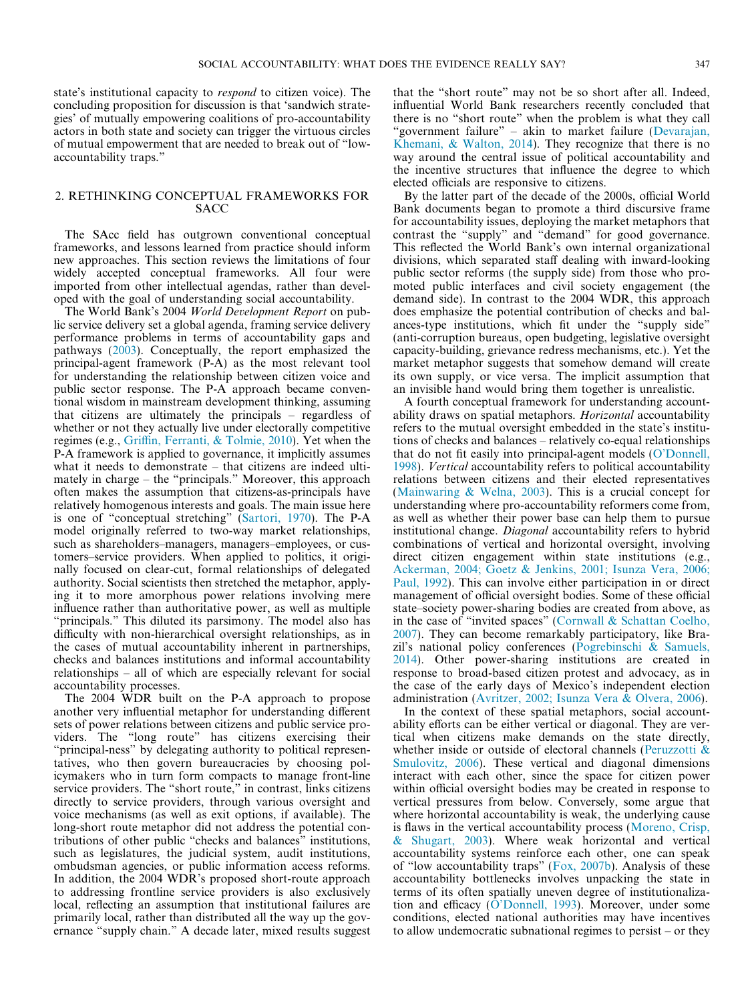state's institutional capacity to respond to citizen voice). The concluding proposition for discussion is that 'sandwich strategies' of mutually empowering coalitions of pro-accountability actors in both state and society can trigger the virtuous circles of mutual empowerment that are needed to break out of "lowaccountability traps."

# 2. RETHINKING CONCEPTUAL FRAMEWORKS FOR SACC

The SAcc field has outgrown conventional conceptual frameworks, and lessons learned from practice should inform new approaches. This section reviews the limitations of four widely accepted conceptual frameworks. All four were imported from other intellectual agendas, rather than developed with the goal of understanding social accountability.

The World Bank's 2004 World Development Report on public service delivery set a global agenda, framing service delivery performance problems in terms of accountability gaps and pathways [\(2003](#page-15-0)). Conceptually, the report emphasized the principal-agent framework (P-A) as the most relevant tool for understanding the relationship between citizen voice and public sector response. The P-A approach became conventional wisdom in mainstream development thinking, assuming that citizens are ultimately the principals – regardless of whether or not they actually live under electorally competitive regimes (e.g., [Griffin, Ferranti, & Tolmie, 2010](#page-13-0)). Yet when the P-A framework is applied to governance, it implicitly assumes what it needs to demonstrate – that citizens are indeed ultimately in charge – the "principals." Moreover, this approach often makes the assumption that citizens-as-principals have relatively homogenous interests and goals. The main issue here is one of "conceptual stretching" ([Sartori, 1970](#page-14-0)). The P-A model originally referred to two-way market relationships, such as shareholders–managers, managers–employees, or customers–service providers. When applied to politics, it originally focused on clear-cut, formal relationships of delegated authority. Social scientists then stretched the metaphor, applying it to more amorphous power relations involving mere influence rather than authoritative power, as well as multiple "principals." This diluted its parsimony. The model also has difficulty with non-hierarchical oversight relationships, as in the cases of mutual accountability inherent in partnerships, checks and balances institutions and informal accountability relationships – all of which are especially relevant for social accountability processes.

The 2004 WDR built on the P-A approach to propose another very influential metaphor for understanding different sets of power relations between citizens and public service providers. The "long route" has citizens exercising their "principal-ness" by delegating authority to political representatives, who then govern bureaucracies by choosing policymakers who in turn form compacts to manage front-line service providers. The "short route," in contrast, links citizens directly to service providers, through various oversight and voice mechanisms (as well as exit options, if available). The long-short route metaphor did not address the potential contributions of other public "checks and balances" institutions, such as legislatures, the judicial system, audit institutions, ombudsman agencies, or public information access reforms. In addition, the 2004 WDR's proposed short-route approach to addressing frontline service providers is also exclusively local, reflecting an assumption that institutional failures are primarily local, rather than distributed all the way up the governance "supply chain." A decade later, mixed results suggest that the "short route" may not be so short after all. Indeed, influential World Bank researchers recently concluded that there is no "short route" when the problem is what they call "government failure" – akin to market failure ([Devarajan,](#page-13-0) [Khemani, & Walton, 2014](#page-13-0)). They recognize that there is no way around the central issue of political accountability and the incentive structures that influence the degree to which elected officials are responsive to citizens.

By the latter part of the decade of the 2000s, official World Bank documents began to promote a third discursive frame for accountability issues, deploying the market metaphors that contrast the "supply" and "demand" for good governance. This reflected the World Bank's own internal organizational divisions, which separated staff dealing with inward-looking public sector reforms (the supply side) from those who promoted public interfaces and civil society engagement (the demand side). In contrast to the 2004 WDR, this approach does emphasize the potential contribution of checks and balances-type institutions, which fit under the "supply side" (anti-corruption bureaus, open budgeting, legislative oversight capacity-building, grievance redress mechanisms, etc.). Yet the market metaphor suggests that somehow demand will create its own supply, or vice versa. The implicit assumption that an invisible hand would bring them together is unrealistic.

A fourth conceptual framework for understanding accountability draws on spatial metaphors. Horizontal accountability refers to the mutual oversight embedded in the state's institutions of checks and balances – relatively co-equal relationships that do not fit easily into principal-agent models [\(O'Donnell,](#page-14-0) [1998](#page-14-0)). Vertical accountability refers to political accountability relations between citizens and their elected representatives ([Mainwaring & Welna, 2003\)](#page-14-0). This is a crucial concept for understanding where pro-accountability reformers come from, as well as whether their power base can help them to pursue institutional change. Diagonal accountability refers to hybrid combinations of vertical and horizontal oversight, involving direct citizen engagement within state institutions (e.g., [Ackerman, 2004; Goetz & Jenkins, 2001; Isunza Vera, 2006;](#page-12-0) [Paul, 1992\)](#page-12-0). This can involve either participation in or direct management of official oversight bodies. Some of these official state–society power-sharing bodies are created from above, as in the case of "invited spaces" [\(Cornwall & Schattan Coelho,](#page-13-0) [2007](#page-13-0)). They can become remarkably participatory, like Brazil's national policy conferences [\(Pogrebinschi & Samuels,](#page-14-0) [2014](#page-14-0)). Other power-sharing institutions are created in response to broad-based citizen protest and advocacy, as in the case of the early days of Mexico's independent election administration [\(Avritzer, 2002; Isunza Vera & Olvera, 2006](#page-12-0)).

In the context of these spatial metaphors, social accountability efforts can be either vertical or diagonal. They are vertical when citizens make demands on the state directly, whether inside or outside of electoral channels ([Peruzzotti &](#page-14-0) [Smulovitz, 2006](#page-14-0)). These vertical and diagonal dimensions interact with each other, since the space for citizen power within official oversight bodies may be created in response to vertical pressures from below. Conversely, some argue that where horizontal accountability is weak, the underlying cause is flaws in the vertical accountability process ([Moreno, Crisp,](#page-14-0) [& Shugart, 2003\)](#page-14-0). Where weak horizontal and vertical accountability systems reinforce each other, one can speak of "low accountability traps" ([Fox, 2007b](#page-13-0)). Analysis of these accountability bottlenecks involves unpacking the state in terms of its often spatially uneven degree of institutionalization and efficacy ([O'Donnell, 1993](#page-14-0)). Moreover, under some conditions, elected national authorities may have incentives to allow undemocratic subnational regimes to persist – or they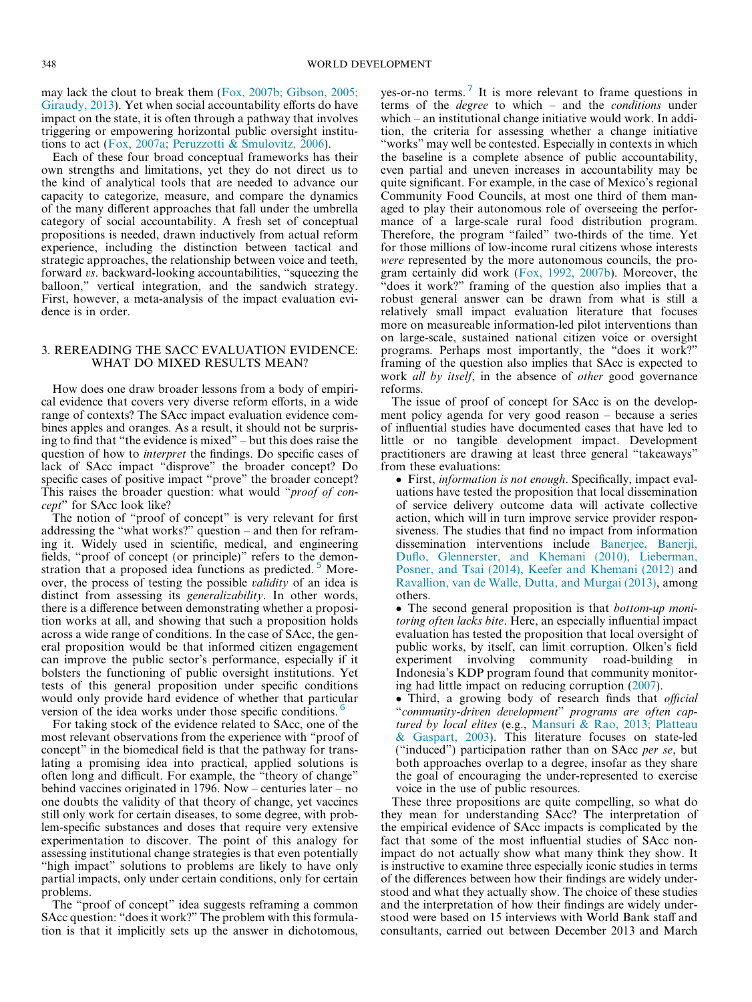may lack the clout to break them [\(Fox, 2007b; Gibson, 2005;](#page-13-0) [Giraudy, 2013\)](#page-13-0). Yet when social accountability efforts do have impact on the state, it is often through a pathway that involves triggering or empowering horizontal public oversight institutions to act ([Fox, 2007a; Peruzzotti & Smulovitz, 2006\)](#page-13-0).

Each of these four broad conceptual frameworks has their own strengths and limitations, yet they do not direct us to the kind of analytical tools that are needed to advance our capacity to categorize, measure, and compare the dynamics of the many different approaches that fall under the umbrella category of social accountability. A fresh set of conceptual propositions is needed, drawn inductively from actual reform experience, including the distinction between tactical and strategic approaches, the relationship between voice and teeth, forward vs. backward-looking accountabilities, "squeezing the balloon," vertical integration, and the sandwich strategy. First, however, a meta-analysis of the impact evaluation evidence is in order.

### 3. REREADING THE SACC EVALUATION EVIDENCE: WHAT DO MIXED RESULTS MEAN?

How does one draw broader lessons from a body of empirical evidence that covers very diverse reform efforts, in a wide range of contexts? The SAcc impact evaluation evidence combines apples and oranges. As a result, it should not be surprising to find that "the evidence is mixed" – but this does raise the question of how to interpret the findings. Do specific cases of lack of SAcc impact "disprove" the broader concept? Do specific cases of positive impact "prove" the broader concept? This raises the broader question: what would "proof of concept" for SAcc look like?

The notion of "proof of concept" is very relevant for first addressing the "what works?" question – and then for reframing it. Widely used in scientific, medical, and engineering fields, "proof of concept (or principle)" refers to the demonstration that a proposed idea functions as predicted.<sup>5</sup> Moreover, the process of testing the possible validity of an idea is distinct from assessing its generalizability. In other words, there is a difference between demonstrating whether a proposition works at all, and showing that such a proposition holds across a wide range of conditions. In the case of SAcc, the general proposition would be that informed citizen engagement can improve the public sector's performance, especially if it bolsters the functioning of public oversight institutions. Yet tests of this general proposition under specific conditions would only provide hard evidence of whether that particular version of the idea works under those specific conditions.

For taking stock of the evidence related to SAcc, one of the most relevant observations from the experience with "proof of concept" in the biomedical field is that the pathway for translating a promising idea into practical, applied solutions is often long and difficult. For example, the "theory of change" behind vaccines originated in 1796. Now – centuries later – no one doubts the validity of that theory of change, yet vaccines still only work for certain diseases, to some degree, with problem-specific substances and doses that require very extensive experimentation to discover. The point of this analogy for assessing institutional change strategies is that even potentially "high impact" solutions to problems are likely to have only partial impacts, only under certain conditions, only for certain problems.

The "proof of concept" idea suggests reframing a common SAcc question: "does it work?" The problem with this formulation is that it implicitly sets up the answer in dichotomous, yes-or-no terms.  $\frac{7}{1}$  It is more relevant to frame questions in terms of the *degree* to which – and the *conditions* under which – an institutional change initiative would work. In addition, the criteria for assessing whether a change initiative "works" may well be contested. Especially in contexts in which the baseline is a complete absence of public accountability, even partial and uneven increases in accountability may be quite significant. For example, in the case of Mexico's regional Community Food Councils, at most one third of them managed to play their autonomous role of overseeing the performance of a large-scale rural food distribution program. Therefore, the program "failed" two-thirds of the time. Yet for those millions of low-income rural citizens whose interests were represented by the more autonomous councils, the program certainly did work ([Fox, 1992, 2007b\)](#page-13-0). Moreover, the "does it work?" framing of the question also implies that a robust general answer can be drawn from what is still a relatively small impact evaluation literature that focuses more on measureable information-led pilot interventions than on large-scale, sustained national citizen voice or oversight programs. Perhaps most importantly, the "does it work?" framing of the question also implies that SAcc is expected to work *all by itself*, in the absence of *other* good governance reforms.

The issue of proof of concept for SAcc is on the development policy agenda for very good reason – because a series of influential studies have documented cases that have led to little or no tangible development impact. Development practitioners are drawing at least three general "takeaways" from these evaluations:

• First, information is not enough. Specifically, impact evaluations have tested the proposition that local dissemination of service delivery outcome data will activate collective action, which will in turn improve service provider responsiveness. The studies that find no impact from information dissemination interventions include [Banerjee, Banerji,](#page-12-0) [Duflo, Glennerster, and Khemani \(2010\), Lieberman,](#page-12-0) [Posner, and Tsai \(2014\), Keefer and Khemani \(2012\)](#page-12-0) and [Ravallion, van de Walle, Dutta, and Murgai \(2013\)](#page-14-0), among others.

• The second general proposition is that bottom-up monitoring often lacks bite. Here, an especially influential impact evaluation has tested the proposition that local oversight of public works, by itself, can limit corruption. Olken's field experiment involving community road-building in Indonesia's KDP program found that community monitoring had little impact on reducing corruption ([2007\)](#page-14-0).

• Third, a growing body of research finds that official "community-driven development" programs are often captured by local elites (e.g., [Mansuri & Rao, 2013; Platteau](#page-14-0) [& Gaspart, 2003\)](#page-14-0). This literature focuses on state-led ("induced") participation rather than on SAcc per se, but both approaches overlap to a degree, insofar as they share the goal of encouraging the under-represented to exercise voice in the use of public resources.

These three propositions are quite compelling, so what do they mean for understanding SAcc? The interpretation of the empirical evidence of SAcc impacts is complicated by the fact that some of the most influential studies of SAcc nonimpact do not actually show what many think they show. It is instructive to examine three especially iconic studies in terms of the differences between how their findings are widely understood and what they actually show. The choice of these studies and the interpretation of how their findings are widely understood were based on 15 interviews with World Bank staff and consultants, carried out between December 2013 and March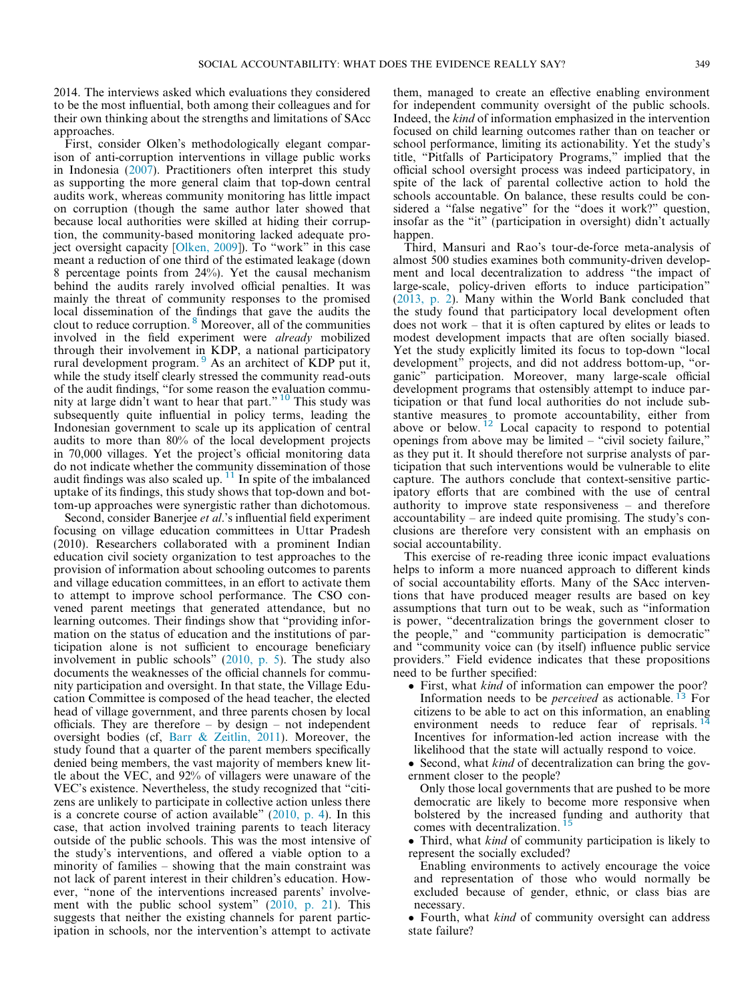2014. The interviews asked which evaluations they considered to be the most influential, both among their colleagues and for their own thinking about the strengths and limitations of SAcc approaches.

First, consider Olken's methodologically elegant comparison of anti-corruption interventions in village public works in Indonesia [\(2007](#page-14-0)). Practitioners often interpret this study as supporting the more general claim that top-down central audits work, whereas community monitoring has little impact on corruption (though the same author later showed that because local authorities were skilled at hiding their corruption, the community-based monitoring lacked adequate project oversight capacity [\[Olken, 2009](#page-14-0)]). To "work" in this case meant a reduction of one third of the estimated leakage (down 8 percentage points from 24%). Yet the causal mechanism behind the audits rarely involved official penalties. It was mainly the threat of community responses to the promised local dissemination of the findings that gave the audits the clout to reduce corruption. <sup>8</sup> Moreover, all of the communities involved in the field experiment were already mobilized through their involvement in KDP, a national participatory rural development program. <sup>9</sup> As an architect of KDP put it, while the study itself clearly stressed the community read-outs of the audit findings, "for some reason the evaluation community at large didn't want to hear that part."  $\frac{10}{10}$  This study was subsequently quite influential in policy terms, leading the Indonesian government to scale up its application of central audits to more than 80% of the local development projects in 70,000 villages. Yet the project's official monitoring data do not indicate whether the community dissemination of those audit findings was also scaled up.  $11 \text{ In}$  spite of the imbalanced uptake of its findings, this study shows that top-down and bottom-up approaches were synergistic rather than dichotomous.

Second, consider Banerjee et al.'s influential field experiment focusing on village education committees in Uttar Pradesh (2010). Researchers collaborated with a prominent Indian education civil society organization to test approaches to the provision of information about schooling outcomes to parents and village education committees, in an effort to activate them to attempt to improve school performance. The CSO convened parent meetings that generated attendance, but no learning outcomes. Their findings show that "providing information on the status of education and the institutions of participation alone is not sufficient to encourage beneficiary involvement in public schools" [\(2010, p. 5](#page-12-0)). The study also documents the weaknesses of the official channels for community participation and oversight. In that state, the Village Education Committee is composed of the head teacher, the elected head of village government, and three parents chosen by local officials. They are therefore  $-$  by design  $-$  not independent oversight bodies (cf, [Barr & Zeitlin, 2011\)](#page-12-0). Moreover, the study found that a quarter of the parent members specifically denied being members, the vast majority of members knew little about the VEC, and 92% of villagers were unaware of the VEC's existence. Nevertheless, the study recognized that "citizens are unlikely to participate in collective action unless there is a concrete course of action available" ([2010, p. 4](#page-12-0)). In this case, that action involved training parents to teach literacy outside of the public schools. This was the most intensive of the study's interventions, and offered a viable option to a minority of families – showing that the main constraint was not lack of parent interest in their children's education. However, "none of the interventions increased parents' involvement with the public school system"  $(20\overline{1}0, p. 21)$ . This suggests that neither the existing channels for parent participation in schools, nor the intervention's attempt to activate them, managed to create an effective enabling environment for independent community oversight of the public schools. Indeed, the kind of information emphasized in the intervention focused on child learning outcomes rather than on teacher or school performance, limiting its actionability. Yet the study's title, "Pitfalls of Participatory Programs," implied that the official school oversight process was indeed participatory, in spite of the lack of parental collective action to hold the schools accountable. On balance, these results could be considered a "false negative" for the "does it work?" question, insofar as the "it" (participation in oversight) didn't actually happen.

Third, Mansuri and Rao's tour-de-force meta-analysis of almost 500 studies examines both community-driven development and local decentralization to address "the impact of large-scale, policy-driven efforts to induce participation" ([2013, p. 2\)](#page-14-0). Many within the World Bank concluded that the study found that participatory local development often does not work – that it is often captured by elites or leads to modest development impacts that are often socially biased. Yet the study explicitly limited its focus to top-down "local development" projects, and did not address bottom-up, "organic" participation. Moreover, many large-scale official development programs that ostensibly attempt to induce participation or that fund local authorities do not include substantive measures to promote accountability, either from above or below.<sup>12</sup> Local capacity to respond to potential openings from above may be limited – "civil society failure," as they put it. It should therefore not surprise analysts of participation that such interventions would be vulnerable to elite capture. The authors conclude that context-sensitive participatory efforts that are combined with the use of central authority to improve state responsiveness – and therefore accountability – are indeed quite promising. The study's conclusions are therefore very consistent with an emphasis on social accountability.

This exercise of re-reading three iconic impact evaluations helps to inform a more nuanced approach to different kinds of social accountability efforts. Many of the SAcc interventions that have produced meager results are based on key assumptions that turn out to be weak, such as "information is power, "decentralization brings the government closer to the people," and "community participation is democratic" and "community voice can (by itself) influence public service providers." Field evidence indicates that these propositions need to be further specified:

• First, what *kind* of information can empower the poor? Information needs to be *perceived* as actionable.<sup>13</sup> For citizens to be able to act on this information, an enabling environment needs to reduce fear of reprisals.  $14$ Incentives for information-led action increase with the likelihood that the state will actually respond to voice.

• Second, what *kind* of decentralization can bring the government closer to the people?

Only those local governments that are pushed to be more democratic are likely to become more responsive when bolstered by the increased funding and authority that comes with decentralization.<sup>19</sup>

• Third, what kind of community participation is likely to represent the socially excluded?

Enabling environments to actively encourage the voice and representation of those who would normally be excluded because of gender, ethnic, or class bias are necessary.

• Fourth, what kind of community oversight can address state failure?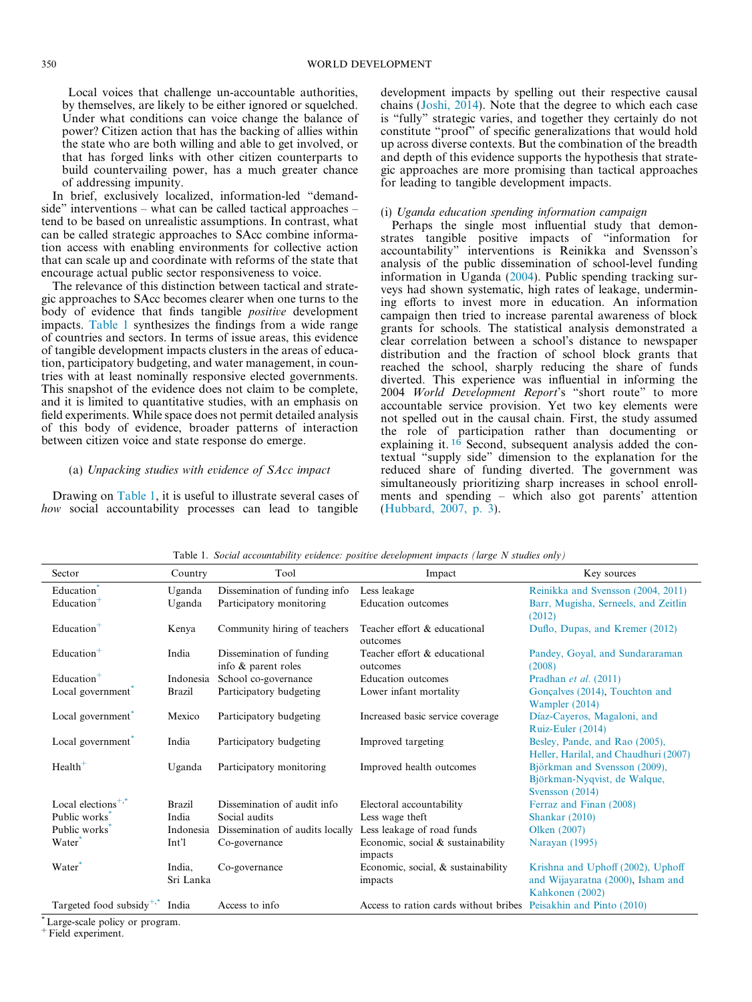Local voices that challenge un-accountable authorities, by themselves, are likely to be either ignored or squelched. Under what conditions can voice change the balance of power? Citizen action that has the backing of allies within the state who are both willing and able to get involved, or that has forged links with other citizen counterparts to build countervailing power, has a much greater chance of addressing impunity.

In brief, exclusively localized, information-led "demandside" interventions – what can be called tactical approaches – tend to be based on unrealistic assumptions. In contrast, what can be called strategic approaches to SAcc combine information access with enabling environments for collective action that can scale up and coordinate with reforms of the state that encourage actual public sector responsiveness to voice.

The relevance of this distinction between tactical and strategic approaches to SAcc becomes clearer when one turns to the body of evidence that finds tangible *positive* development impacts. Table 1 synthesizes the findings from a wide range of countries and sectors. In terms of issue areas, this evidence of tangible development impacts clusters in the areas of education, participatory budgeting, and water management, in countries with at least nominally responsive elected governments. This snapshot of the evidence does not claim to be complete, and it is limited to quantitative studies, with an emphasis on field experiments. While space does not permit detailed analysis of this body of evidence, broader patterns of interaction between citizen voice and state response do emerge.

#### (a) Unpacking studies with evidence of SAcc impact

Drawing on Table 1, it is useful to illustrate several cases of how social accountability processes can lead to tangible development impacts by spelling out their respective causal chains ([Joshi, 2014](#page-14-0)). Note that the degree to which each case is "fully" strategic varies, and together they certainly do not constitute "proof" of specific generalizations that would hold up across diverse contexts. But the combination of the breadth and depth of this evidence supports the hypothesis that strategic approaches are more promising than tactical approaches for leading to tangible development impacts.

# (i) Uganda education spending information campaign

Perhaps the single most influential study that demonstrates tangible positive impacts of "information for accountability" interventions is Reinikka and Svensson's analysis of the public dissemination of school-level funding information in Uganda ([2004\)](#page-14-0). Public spending tracking surveys had shown systematic, high rates of leakage, undermining efforts to invest more in education. An information campaign then tried to increase parental awareness of block grants for schools. The statistical analysis demonstrated a clear correlation between a school's distance to newspaper distribution and the fraction of school block grants that reached the school, sharply reducing the share of funds diverted. This experience was influential in informing the 2004 World Development Report's "short route" to more accountable service provision. Yet two key elements were not spelled out in the causal chain. First, the study assumed the role of participation rather than documenting or explaining it.  $16$  Second, subsequent analysis added the contextual "supply side" dimension to the explanation for the reduced share of funding diverted. The government was simultaneously prioritizing sharp increases in school enrollments and spending – which also got parents' attention ([Hubbard, 2007, p. 3](#page-13-0)).

| Sector                                                    | Country       | Tool                            | Impact                                | Key sources                           |
|-----------------------------------------------------------|---------------|---------------------------------|---------------------------------------|---------------------------------------|
| Education                                                 | Uganda        | Dissemination of funding info   | Less leakage                          | Reinikka and Svensson (2004, 2011)    |
| Education <sup>+</sup>                                    | Uganda        | Participatory monitoring        | <b>Education</b> outcomes             | Barr, Mugisha, Serneels, and Zeitlin  |
|                                                           |               |                                 |                                       | (2012)                                |
| Education <sup>+</sup>                                    | Kenya         | Community hiring of teachers    | Teacher effort & educational          | Duflo, Dupas, and Kremer (2012)       |
|                                                           |               |                                 | outcomes                              |                                       |
| Education <sup>+</sup>                                    | India         | Dissemination of funding        | Teacher effort & educational          | Pandey, Goyal, and Sundararaman       |
|                                                           |               | info & parent roles             | outcomes                              | (2008)                                |
| Education <sup>+</sup>                                    | Indonesia     | School co-governance            | <b>Education</b> outcomes             | Pradhan et al. (2011)                 |
| Local government                                          | <b>Brazil</b> | Participatory budgeting         | Lower infant mortality                | Gonçalves (2014), Touchton and        |
|                                                           |               |                                 |                                       | Wampler (2014)                        |
| Local government                                          | Mexico        | Participatory budgeting         | Increased basic service coverage      | Díaz-Cayeros, Magaloni, and           |
|                                                           |               |                                 |                                       | Ruiz-Euler (2014)                     |
| Local government                                          | India         | Participatory budgeting         | Improved targeting                    | Besley, Pande, and Rao (2005),        |
|                                                           |               |                                 |                                       | Heller, Harilal, and Chaudhuri (2007) |
| $Health+$                                                 | Uganda        | Participatory monitoring        | Improved health outcomes              | Björkman and Svensson (2009),         |
|                                                           |               |                                 |                                       | Björkman-Nyqvist, de Walque,          |
|                                                           |               |                                 |                                       | Svensson (2014)                       |
| Local elections <sup><math>+,*</math></sup>               | Brazil        | Dissemination of audit info     | Electoral accountability              | Ferraz and Finan (2008)               |
| Public works <sup>®</sup>                                 | India         | Social audits                   | Less wage theft                       | Shankar $(2010)$                      |
| Public works <sup>*</sup>                                 | Indonesia     | Dissemination of audits locally | Less leakage of road funds            | Olken (2007)                          |
| Water <sup>*</sup>                                        | Int'l         | Co-governance                   | Economic, social & sustainability     | Narayan (1995)                        |
|                                                           |               |                                 | impacts                               |                                       |
| Water <sup>*</sup>                                        | India,        | Co-governance                   | Economic, social, & sustainability    | Krishna and Uphoff (2002), Uphoff     |
|                                                           | Sri Lanka     |                                 | impacts                               | and Wijayaratna (2000), Isham and     |
|                                                           |               |                                 |                                       | Kahkonen (2002)                       |
| Targeted food subsidy <sup>+,<math>\tilde{ }</math></sup> | India         | Access to info                  | Access to ration cards without bribes | Peisakhin and Pinto (2010)            |

Table 1. Social accountability evidence: positive development impacts (large N studies only)

Large-scale policy or program.

<sup>+</sup> Field experiment.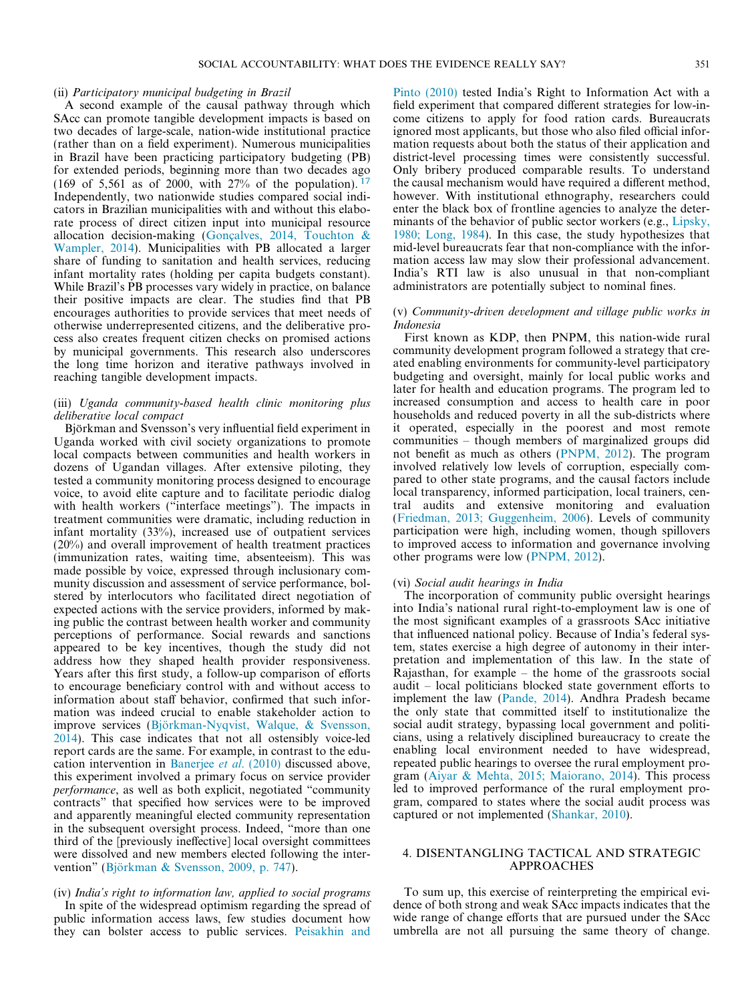#### (ii) Participatory municipal budgeting in Brazil

A second example of the causal pathway through which SAcc can promote tangible development impacts is based on two decades of large-scale, nation-wide institutional practice (rather than on a field experiment). Numerous municipalities in Brazil have been practicing participatory budgeting (PB) for extended periods, beginning more than two decades ago (169 of 5,561 as of 2000, with  $27\%$  of the population).  $17$ Independently, two nationwide studies compared social indicators in Brazilian municipalities with and without this elaborate process of direct citizen input into municipal resource allocation decision-making (Gonçalves, 2014, Touchton & [Wampler, 2014](#page-13-0)). Municipalities with PB allocated a larger share of funding to sanitation and health services, reducing infant mortality rates (holding per capita budgets constant). While Brazil's PB processes vary widely in practice, on balance their positive impacts are clear. The studies find that PB encourages authorities to provide services that meet needs of otherwise underrepresented citizens, and the deliberative process also creates frequent citizen checks on promised actions by municipal governments. This research also underscores the long time horizon and iterative pathways involved in reaching tangible development impacts.

### (iii) Uganda community-based health clinic monitoring plus deliberative local compact

Björkman and Svensson's very influential field experiment in Uganda worked with civil society organizations to promote local compacts between communities and health workers in dozens of Ugandan villages. After extensive piloting, they tested a community monitoring process designed to encourage voice, to avoid elite capture and to facilitate periodic dialog with health workers ("interface meetings"). The impacts in treatment communities were dramatic, including reduction in infant mortality (33%), increased use of outpatient services (20%) and overall improvement of health treatment practices (immunization rates, waiting time, absenteeism). This was made possible by voice, expressed through inclusionary community discussion and assessment of service performance, bolstered by interlocutors who facilitated direct negotiation of expected actions with the service providers, informed by making public the contrast between health worker and community perceptions of performance. Social rewards and sanctions appeared to be key incentives, though the study did not address how they shaped health provider responsiveness. Years after this first study, a follow-up comparison of efforts to encourage beneficiary control with and without access to information about staff behavior, confirmed that such information was indeed crucial to enable stakeholder action to improve services (Björkman-Nyqvist, Walque, & Svensson, [2014](#page-13-0)). This case indicates that not all ostensibly voice-led report cards are the same. For example, in contrast to the education intervention in [Banerjee](#page-12-0) et al. (2010) discussed above, this experiment involved a primary focus on service provider performance, as well as both explicit, negotiated "community contracts" that specified how services were to be improved and apparently meaningful elected community representation in the subsequent oversight process. Indeed, "more than one third of the [previously ineffective] local oversight committees were dissolved and new members elected following the intervention" (Björkman & Svensson, 2009, p. 747).

# (iv) India's right to information law, applied to social programs In spite of the widespread optimism regarding the spread of

public information access laws, few studies document how they can bolster access to public services. [Peisakhin and](#page-14-0) [Pinto \(2010\)](#page-14-0) tested India's Right to Information Act with a field experiment that compared different strategies for low-income citizens to apply for food ration cards. Bureaucrats ignored most applicants, but those who also filed official information requests about both the status of their application and district-level processing times were consistently successful. Only bribery produced comparable results. To understand the causal mechanism would have required a different method, however. With institutional ethnography, researchers could enter the black box of frontline agencies to analyze the determinants of the behavior of public sector workers (e.g., [Lipsky,](#page-14-0) [1980; Long, 1984](#page-14-0)). In this case, the study hypothesizes that mid-level bureaucrats fear that non-compliance with the information access law may slow their professional advancement. India's RTI law is also unusual in that non-compliant administrators are potentially subject to nominal fines.

#### (v) Community-driven development and village public works in Indonesia

First known as KDP, then PNPM, this nation-wide rural community development program followed a strategy that created enabling environments for community-level participatory budgeting and oversight, mainly for local public works and later for health and education programs. The program led to increased consumption and access to health care in poor households and reduced poverty in all the sub-districts where it operated, especially in the poorest and most remote communities – though members of marginalized groups did not benefit as much as others ([PNPM, 2012](#page-14-0)). The program involved relatively low levels of corruption, especially compared to other state programs, and the causal factors include local transparency, informed participation, local trainers, central audits and extensive monitoring and evaluation ([Friedman, 2013; Guggenheim, 2006](#page-13-0)). Levels of community participation were high, including women, though spillovers to improved access to information and governance involving other programs were low ([PNPM, 2012\)](#page-14-0).

#### (vi) Social audit hearings in India

The incorporation of community public oversight hearings into India's national rural right-to-employment law is one of the most significant examples of a grassroots SAcc initiative that influenced national policy. Because of India's federal system, states exercise a high degree of autonomy in their interpretation and implementation of this law. In the state of Rajasthan, for example – the home of the grassroots social audit – local politicians blocked state government efforts to implement the law ([Pande, 2014](#page-14-0)). Andhra Pradesh became the only state that committed itself to institutionalize the social audit strategy, bypassing local government and politicians, using a relatively disciplined bureaucracy to create the enabling local environment needed to have widespread, repeated public hearings to oversee the rural employment program [\(Aiyar & Mehta, 2015; Maiorano, 2014\)](#page-12-0). This process led to improved performance of the rural employment program, compared to states where the social audit process was captured or not implemented [\(Shankar, 2010\)](#page-14-0).

# 4. DISENTANGLING TACTICAL AND STRATEGIC APPROACHES

To sum up, this exercise of reinterpreting the empirical evidence of both strong and weak SAcc impacts indicates that the wide range of change efforts that are pursued under the SAcc umbrella are not all pursuing the same theory of change.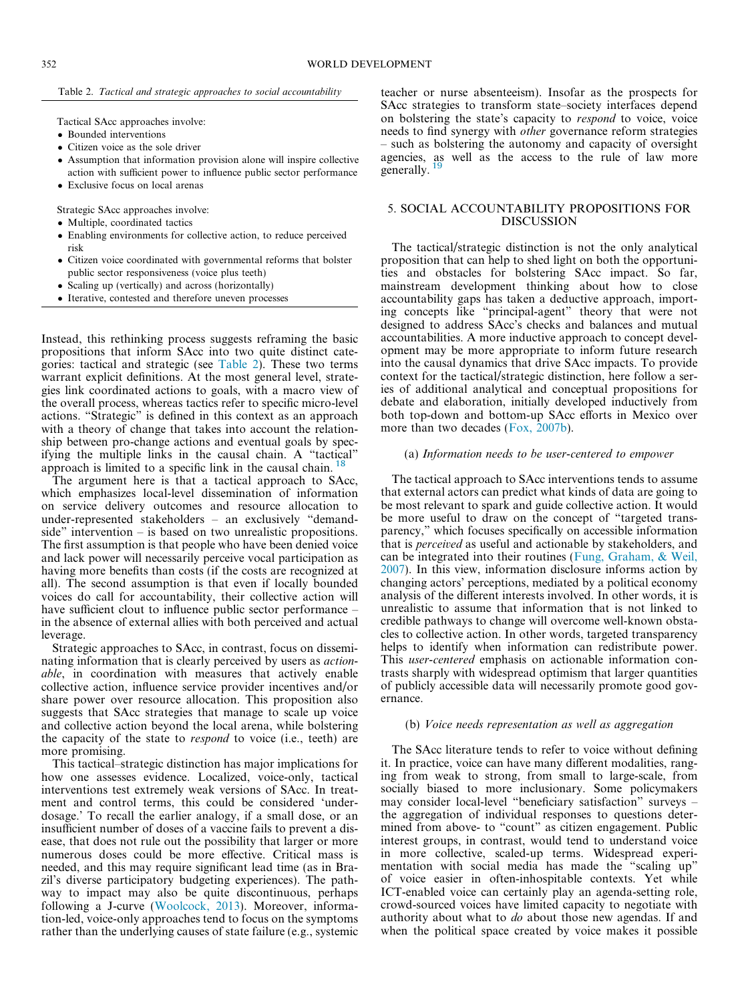Table 2. Tactical and strategic approaches to social accountability

Tactical SAcc approaches involve:

- Bounded interventions
- Citizen voice as the sole driver
- Assumption that information provision alone will inspire collective action with sufficient power to influence public sector performance
- Exclusive focus on local arenas

Strategic SAcc approaches involve:

- Multiple, coordinated tactics
- Enabling environments for collective action, to reduce perceived risk
- Citizen voice coordinated with governmental reforms that bolster public sector responsiveness (voice plus teeth)
- Scaling up (vertically) and across (horizontally)
- Iterative, contested and therefore uneven processes

Instead, this rethinking process suggests reframing the basic propositions that inform SAcc into two quite distinct categories: tactical and strategic (see Table 2). These two terms warrant explicit definitions. At the most general level, strategies link coordinated actions to goals, with a macro view of the overall process, whereas tactics refer to specific micro-level actions. "Strategic" is defined in this context as an approach with a theory of change that takes into account the relationship between pro-change actions and eventual goals by specifying the multiple links in the causal chain. A "tactical" approach is limited to a specific link in the causal chain.

The argument here is that a tactical approach to SAcc, which emphasizes local-level dissemination of information on service delivery outcomes and resource allocation to under-represented stakeholders – an exclusively "demandside" intervention – is based on two unrealistic propositions. The first assumption is that people who have been denied voice and lack power will necessarily perceive vocal participation as having more benefits than costs (if the costs are recognized at all). The second assumption is that even if locally bounded voices do call for accountability, their collective action will have sufficient clout to influence public sector performance – in the absence of external allies with both perceived and actual leverage.

Strategic approaches to SAcc, in contrast, focus on disseminating information that is clearly perceived by users as actionable, in coordination with measures that actively enable collective action, influence service provider incentives and/or share power over resource allocation. This proposition also suggests that SAcc strategies that manage to scale up voice and collective action beyond the local arena, while bolstering the capacity of the state to respond to voice (i.e., teeth) are more promising.

This tactical–strategic distinction has major implications for how one assesses evidence. Localized, voice-only, tactical interventions test extremely weak versions of SAcc. In treatment and control terms, this could be considered 'underdosage.' To recall the earlier analogy, if a small dose, or an insufficient number of doses of a vaccine fails to prevent a disease, that does not rule out the possibility that larger or more numerous doses could be more effective. Critical mass is needed, and this may require significant lead time (as in Brazil's diverse participatory budgeting experiences). The pathway to impact may also be quite discontinuous, perhaps following a J-curve ([Woolcock, 2013](#page-15-0)). Moreover, information-led, voice-only approaches tend to focus on the symptoms rather than the underlying causes of state failure (e.g., systemic teacher or nurse absenteeism). Insofar as the prospects for SAcc strategies to transform state–society interfaces depend on bolstering the state's capacity to respond to voice, voice needs to find synergy with other governance reform strategies – such as bolstering the autonomy and capacity of oversight agencies, as well as the access to the rule of law more generally.<sup>19</sup>

# 5. SOCIAL ACCOUNTABILITY PROPOSITIONS FOR **DISCUSSION**

The tactical/strategic distinction is not the only analytical proposition that can help to shed light on both the opportunities and obstacles for bolstering SAcc impact. So far, mainstream development thinking about how to close accountability gaps has taken a deductive approach, importing concepts like "principal-agent" theory that were not designed to address SAcc's checks and balances and mutual accountabilities. A more inductive approach to concept development may be more appropriate to inform future research into the causal dynamics that drive SAcc impacts. To provide context for the tactical/strategic distinction, here follow a series of additional analytical and conceptual propositions for debate and elaboration, initially developed inductively from both top-down and bottom-up SAcc efforts in Mexico over more than two decades [\(Fox, 2007b](#page-13-0)).

#### (a) Information needs to be user-centered to empower

The tactical approach to SAcc interventions tends to assume that external actors can predict what kinds of data are going to be most relevant to spark and guide collective action. It would be more useful to draw on the concept of "targeted transparency," which focuses specifically on accessible information that is perceived as useful and actionable by stakeholders, and can be integrated into their routines ([Fung, Graham, & Weil,](#page-13-0) [2007\)](#page-13-0). In this view, information disclosure informs action by changing actors' perceptions, mediated by a political economy analysis of the different interests involved. In other words, it is unrealistic to assume that information that is not linked to credible pathways to change will overcome well-known obstacles to collective action. In other words, targeted transparency helps to identify when information can redistribute power. This user-centered emphasis on actionable information contrasts sharply with widespread optimism that larger quantities of publicly accessible data will necessarily promote good governance.

#### (b) Voice needs representation as well as aggregation

The SAcc literature tends to refer to voice without defining it. In practice, voice can have many different modalities, ranging from weak to strong, from small to large-scale, from socially biased to more inclusionary. Some policymakers may consider local-level "beneficiary satisfaction" surveys – the aggregation of individual responses to questions determined from above- to "count" as citizen engagement. Public interest groups, in contrast, would tend to understand voice in more collective, scaled-up terms. Widespread experimentation with social media has made the "scaling up" of voice easier in often-inhospitable contexts. Yet while ICT-enabled voice can certainly play an agenda-setting role, crowd-sourced voices have limited capacity to negotiate with authority about what to *do* about those new agendas. If and when the political space created by voice makes it possible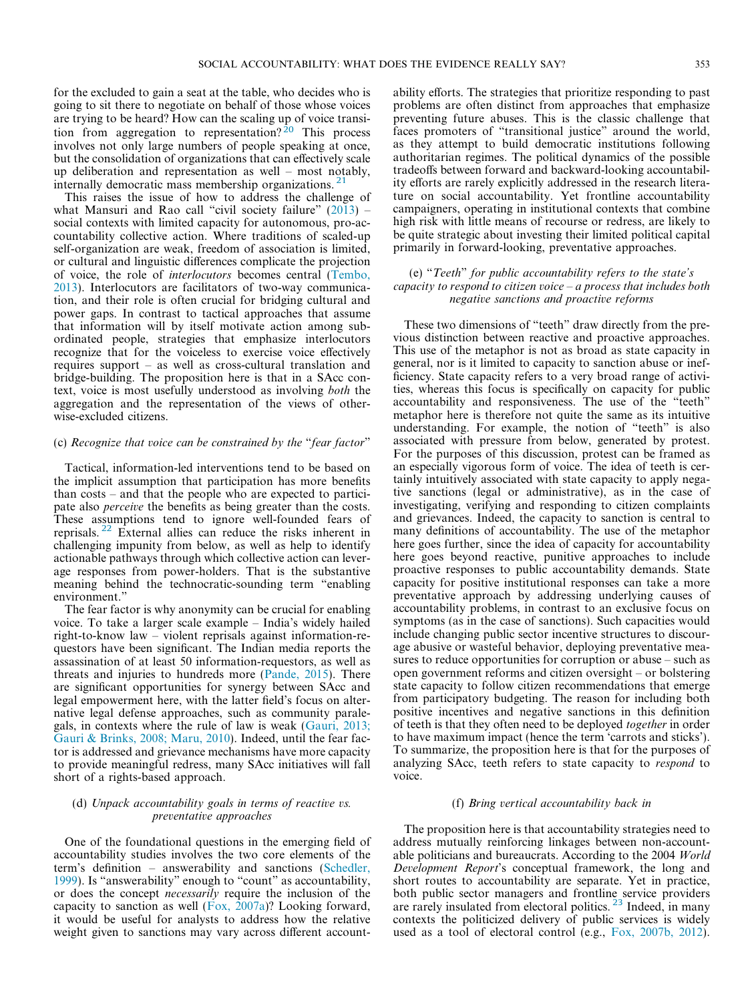for the excluded to gain a seat at the table, who decides who is going to sit there to negotiate on behalf of those whose voices are trying to be heard? How can the scaling up of voice transition from aggregation to representation?  $2^{20}$  This process involves not only large numbers of people speaking at once, but the consolidation of organizations that can effectively scale up deliberation and representation as well – most notably, internally democratic mass membership organizations.<sup>2</sup>

This raises the issue of how to address the challenge of what Mansuri and Rao call "civil society failure" [\(2013](#page-14-0)) – social contexts with limited capacity for autonomous, pro-accountability collective action. Where traditions of scaled-up self-organization are weak, freedom of association is limited, or cultural and linguistic differences complicate the projection of voice, the role of interlocutors becomes central [\(Tembo,](#page-14-0) [2013](#page-14-0)). Interlocutors are facilitators of two-way communication, and their role is often crucial for bridging cultural and power gaps. In contrast to tactical approaches that assume that information will by itself motivate action among subordinated people, strategies that emphasize interlocutors recognize that for the voiceless to exercise voice effectively requires support – as well as cross-cultural translation and bridge-building. The proposition here is that in a SAcc context, voice is most usefully understood as involving both the aggregation and the representation of the views of otherwise-excluded citizens.

#### (c) Recognize that voice can be constrained by the "fear factor"

Tactical, information-led interventions tend to be based on the implicit assumption that participation has more benefits than costs – and that the people who are expected to participate also perceive the benefits as being greater than the costs. These assumptions tend to ignore well-founded fears of reprisals. <sup>22</sup> External allies can reduce the risks inherent in challenging impunity from below, as well as help to identify actionable pathways through which collective action can leverage responses from power-holders. That is the substantive meaning behind the technocratic-sounding term "enabling environment.'

The fear factor is why anonymity can be crucial for enabling voice. To take a larger scale example – India's widely hailed right-to-know law – violent reprisals against information-requestors have been significant. The Indian media reports the assassination of at least 50 information-requestors, as well as threats and injuries to hundreds more ([Pande, 2015](#page-14-0)). There are significant opportunities for synergy between SAcc and legal empowerment here, with the latter field's focus on alternative legal defense approaches, such as community paralegals, in contexts where the rule of law is weak [\(Gauri, 2013;](#page-13-0) [Gauri & Brinks, 2008; Maru, 2010](#page-13-0)). Indeed, until the fear factor is addressed and grievance mechanisms have more capacity to provide meaningful redress, many SAcc initiatives will fall short of a rights-based approach.

# (d) Unpack accountability goals in terms of reactive vs. preventative approaches

One of the foundational questions in the emerging field of accountability studies involves the two core elements of the term's definition – answerability and sanctions ([Schedler,](#page-14-0) [1999](#page-14-0)). Is "answerability" enough to "count" as accountability, or does the concept necessarily require the inclusion of the capacity to sanction as well ([Fox, 2007a](#page-13-0))? Looking forward, it would be useful for analysts to address how the relative weight given to sanctions may vary across different accountability efforts. The strategies that prioritize responding to past problems are often distinct from approaches that emphasize preventing future abuses. This is the classic challenge that faces promoters of "transitional justice" around the world, as they attempt to build democratic institutions following authoritarian regimes. The political dynamics of the possible tradeoffs between forward and backward-looking accountability efforts are rarely explicitly addressed in the research literature on social accountability. Yet frontline accountability campaigners, operating in institutional contexts that combine high risk with little means of recourse or redress, are likely to be quite strategic about investing their limited political capital primarily in forward-looking, preventative approaches.

## (e) "Teeth" for public accountability refers to the state's capacity to respond to citizen voice – a process that includes both negative sanctions and proactive reforms

These two dimensions of "teeth" draw directly from the previous distinction between reactive and proactive approaches. This use of the metaphor is not as broad as state capacity in general, nor is it limited to capacity to sanction abuse or inefficiency. State capacity refers to a very broad range of activities, whereas this focus is specifically on capacity for public accountability and responsiveness. The use of the "teeth" metaphor here is therefore not quite the same as its intuitive understanding. For example, the notion of "teeth" is also associated with pressure from below, generated by protest. For the purposes of this discussion, protest can be framed as an especially vigorous form of voice. The idea of teeth is certainly intuitively associated with state capacity to apply negative sanctions (legal or administrative), as in the case of investigating, verifying and responding to citizen complaints and grievances. Indeed, the capacity to sanction is central to many definitions of accountability. The use of the metaphor here goes further, since the idea of capacity for accountability here goes beyond reactive, punitive approaches to include proactive responses to public accountability demands. State capacity for positive institutional responses can take a more preventative approach by addressing underlying causes of accountability problems, in contrast to an exclusive focus on symptoms (as in the case of sanctions). Such capacities would include changing public sector incentive structures to discourage abusive or wasteful behavior, deploying preventative measures to reduce opportunities for corruption or abuse – such as open government reforms and citizen oversight – or bolstering state capacity to follow citizen recommendations that emerge from participatory budgeting. The reason for including both positive incentives and negative sanctions in this definition of teeth is that they often need to be deployed together in order to have maximum impact (hence the term 'carrots and sticks'). To summarize, the proposition here is that for the purposes of analyzing SAcc, teeth refers to state capacity to *respond* to voice.

#### (f) Bring vertical accountability back in

The proposition here is that accountability strategies need to address mutually reinforcing linkages between non-accountable politicians and bureaucrats. According to the 2004 World Development Report's conceptual framework, the long and short routes to accountability are separate. Yet in practice, both public sector managers and frontline service providers are rarely insulated from electoral politics.  $^{23}$  Indeed, in many contexts the politicized delivery of public services is widely used as a tool of electoral control (e.g., [Fox, 2007b, 2012\)](#page-13-0).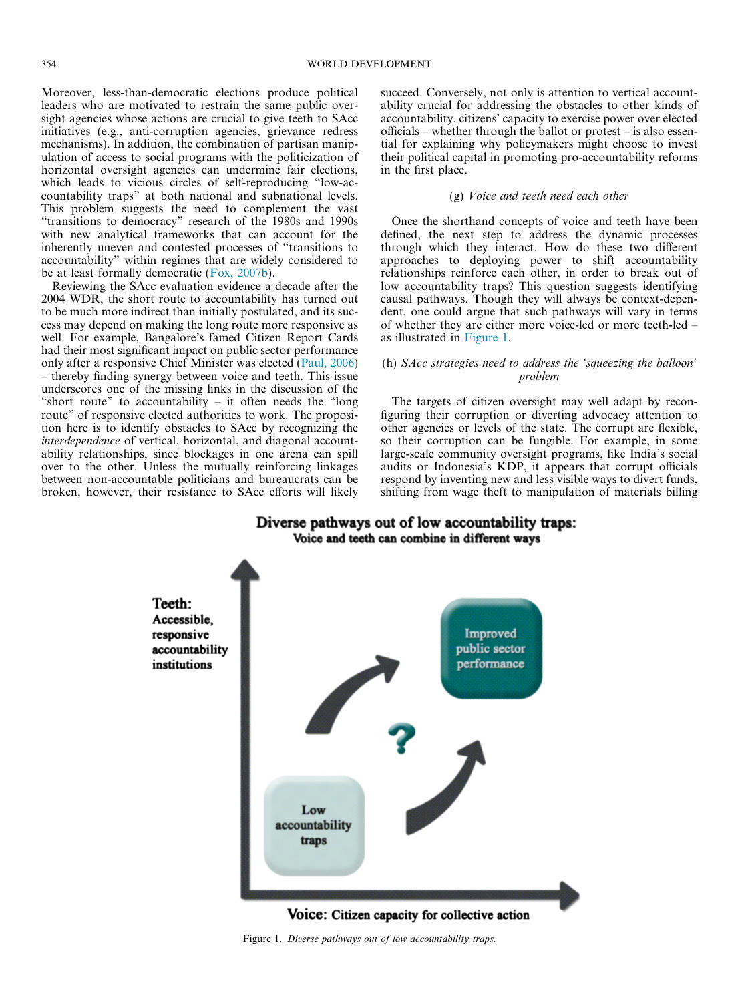<span id="page-8-0"></span>Moreover, less-than-democratic elections produce political leaders who are motivated to restrain the same public oversight agencies whose actions are crucial to give teeth to SAcc initiatives (e.g., anti-corruption agencies, grievance redress mechanisms). In addition, the combination of partisan manipulation of access to social programs with the politicization of horizontal oversight agencies can undermine fair elections, which leads to vicious circles of self-reproducing "low-accountability traps" at both national and subnational levels. This problem suggests the need to complement the vast "transitions to democracy" research of the 1980s and 1990s with new analytical frameworks that can account for the inherently uneven and contested processes of "transitions to accountability" within regimes that are widely considered to be at least formally democratic [\(Fox, 2007b](#page-13-0)).

Reviewing the SAcc evaluation evidence a decade after the 2004 WDR, the short route to accountability has turned out to be much more indirect than initially postulated, and its success may depend on making the long route more responsive as well. For example, Bangalore's famed Citizen Report Cards had their most significant impact on public sector performance only after a responsive Chief Minister was elected [\(Paul, 2006\)](#page-14-0) – thereby finding synergy between voice and teeth. This issue underscores one of the missing links in the discussion of the "short route" to accountability – it often needs the "long" route" of responsive elected authorities to work. The proposition here is to identify obstacles to SAcc by recognizing the interdependence of vertical, horizontal, and diagonal accountability relationships, since blockages in one arena can spill over to the other. Unless the mutually reinforcing linkages between non-accountable politicians and bureaucrats can be broken, however, their resistance to SAcc efforts will likely succeed. Conversely, not only is attention to vertical accountability crucial for addressing the obstacles to other kinds of accountability, citizens' capacity to exercise power over elected officials – whether through the ballot or protest – is also essential for explaining why policymakers might choose to invest their political capital in promoting pro-accountability reforms in the first place.

#### (g) Voice and teeth need each other

Once the shorthand concepts of voice and teeth have been defined, the next step to address the dynamic processes through which they interact. How do these two different approaches to deploying power to shift accountability relationships reinforce each other, in order to break out of low accountability traps? This question suggests identifying causal pathways. Though they will always be context-dependent, one could argue that such pathways will vary in terms of whether they are either more voice-led or more teeth-led – as illustrated in Figure 1.

# (h) SAcc strategies need to address the 'squeezing the balloon' problem

The targets of citizen oversight may well adapt by reconfiguring their corruption or diverting advocacy attention to other agencies or levels of the state. The corrupt are flexible, so their corruption can be fungible. For example, in some large-scale community oversight programs, like India's social audits or Indonesia's KDP, it appears that corrupt officials respond by inventing new and less visible ways to divert funds, shifting from wage theft to manipulation of materials billing



Voice: Citizen capacity for collective action

Figure 1. Diverse pathways out of low accountability traps.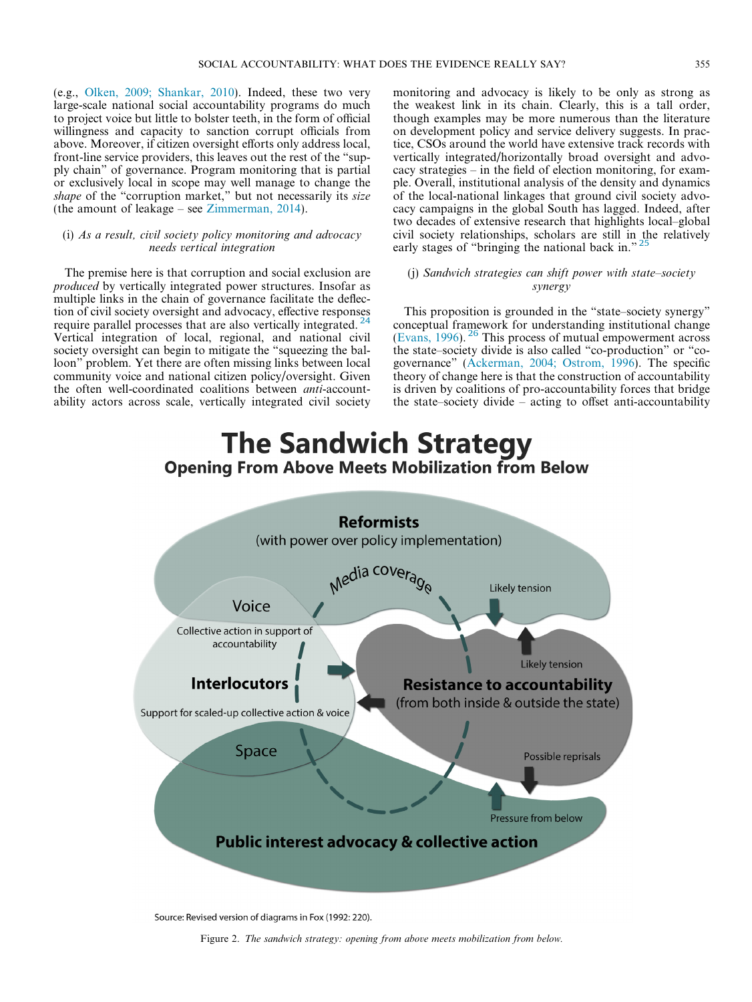<span id="page-9-0"></span>(e.g., [Olken, 2009; Shankar, 2010\)](#page-14-0). Indeed, these two very large-scale national social accountability programs do much to project voice but little to bolster teeth, in the form of official willingness and capacity to sanction corrupt officials from above. Moreover, if citizen oversight efforts only address local, front-line service providers, this leaves out the rest of the "supply chain" of governance. Program monitoring that is partial or exclusively local in scope may well manage to change the shape of the "corruption market," but not necessarily its size (the amount of leakage – see [Zimmerman, 2014](#page-15-0)).

# (i) As a result, civil society policy monitoring and advocacy needs vertical integration

The premise here is that corruption and social exclusion are produced by vertically integrated power structures. Insofar as multiple links in the chain of governance facilitate the deflection of civil society oversight and advocacy, effective responses<br>require parallel processes that are also vertically integrated. <sup>24</sup> Vertical integration of local, regional, and national civil society oversight can begin to mitigate the "squeezing the balloon" problem. Yet there are often missing links between local community voice and national citizen policy/oversight. Given the often well-coordinated coalitions between anti-accountability actors across scale, vertically integrated civil society monitoring and advocacy is likely to be only as strong as the weakest link in its chain. Clearly, this is a tall order, though examples may be more numerous than the literature on development policy and service delivery suggests. In practice, CSOs around the world have extensive track records with vertically integrated/horizontally broad oversight and advocacy strategies – in the field of election monitoring, for example. Overall, institutional analysis of the density and dynamics of the local-national linkages that ground civil society advocacy campaigns in the global South has lagged. Indeed, after two decades of extensive research that highlights local–global civil society relationships, scholars are still in the relatively early stages of "bringing the national back in."

# (j) Sandwich strategies can shift power with state–society synergy

This proposition is grounded in the "state–society synergy" conceptual framework for understanding institutional change ([Evans, 1996\)](#page-13-0). <sup>26</sup> This process of mutual empowerment across the state–society divide is also called "co-production" or "cogovernance" [\(Ackerman, 2004; Ostrom, 1996\)](#page-12-0). The specific theory of change here is that the construction of accountability is driven by coalitions of pro-accountability forces that bridge the state–society divide – acting to offset anti-accountability



Source: Revised version of diagrams in Fox (1992: 220).

Figure 2. The sandwich strategy: opening from above meets mobilization from below.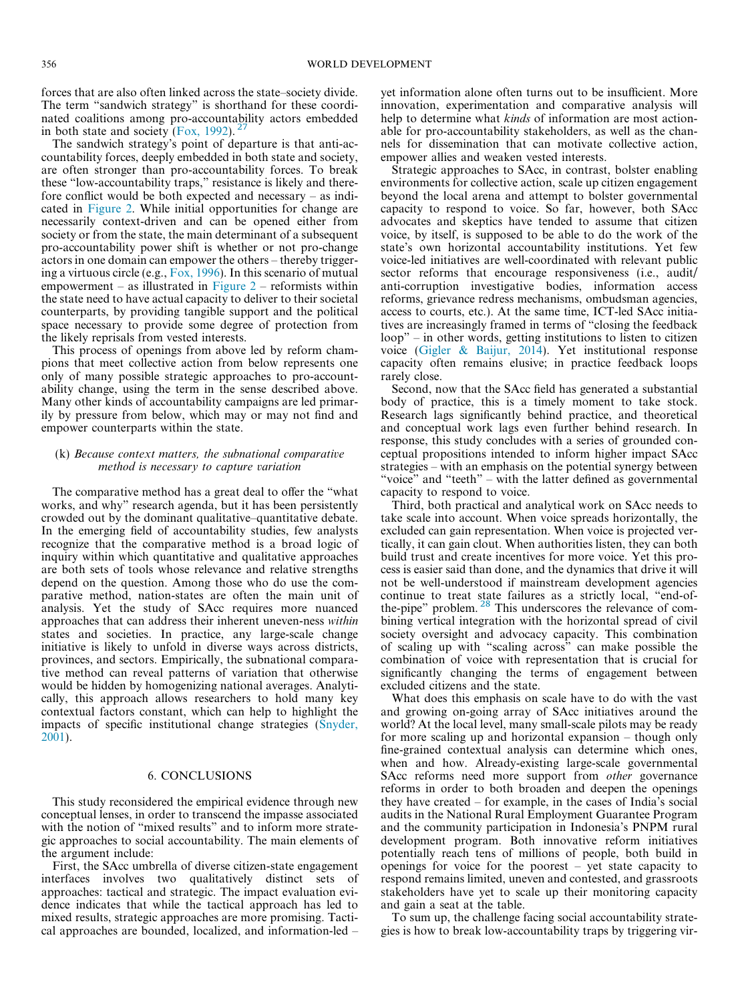forces that are also often linked across the state–society divide. The term "sandwich strategy" is shorthand for these coordinated coalitions among pro-accountability actors embedded in both state and society ([Fox, 1992\)](#page-13-0).<sup>27</sup>

The sandwich strategy's point of departure is that anti-accountability forces, deeply embedded in both state and society, are often stronger than pro-accountability forces. To break these "low-accountability traps," resistance is likely and therefore conflict would be both expected and necessary – as indicated in [Figure 2](#page-9-0). While initial opportunities for change are necessarily context-driven and can be opened either from society or from the state, the main determinant of a subsequent pro-accountability power shift is whether or not pro-change actors in one domain can empower the others – thereby triggering a virtuous circle (e.g., [Fox, 1996](#page-13-0)). In this scenario of mutual empowerment – as illustrated in [Figure 2](#page-9-0) – reformists within the state need to have actual capacity to deliver to their societal counterparts, by providing tangible support and the political space necessary to provide some degree of protection from the likely reprisals from vested interests.

This process of openings from above led by reform champions that meet collective action from below represents one only of many possible strategic approaches to pro-accountability change, using the term in the sense described above. Many other kinds of accountability campaigns are led primarily by pressure from below, which may or may not find and empower counterparts within the state.

# (k) Because context matters, the subnational comparative method is necessary to capture variation

The comparative method has a great deal to offer the "what works, and why" research agenda, but it has been persistently crowded out by the dominant qualitative–quantitative debate. In the emerging field of accountability studies, few analysts recognize that the comparative method is a broad logic of inquiry within which quantitative and qualitative approaches are both sets of tools whose relevance and relative strengths depend on the question. Among those who do use the comparative method, nation-states are often the main unit of analysis. Yet the study of SAcc requires more nuanced approaches that can address their inherent uneven-ness within states and societies. In practice, any large-scale change initiative is likely to unfold in diverse ways across districts, provinces, and sectors. Empirically, the subnational comparative method can reveal patterns of variation that otherwise would be hidden by homogenizing national averages. Analytically, this approach allows researchers to hold many key contextual factors constant, which can help to highlight the impacts of specific institutional change strategies ([Snyder,](#page-14-0) [2001\)](#page-14-0).

# 6. CONCLUSIONS

This study reconsidered the empirical evidence through new conceptual lenses, in order to transcend the impasse associated with the notion of "mixed results" and to inform more strategic approaches to social accountability. The main elements of the argument include:

First, the SAcc umbrella of diverse citizen-state engagement interfaces involves two qualitatively distinct sets of approaches: tactical and strategic. The impact evaluation evidence indicates that while the tactical approach has led to mixed results, strategic approaches are more promising. Tactical approaches are bounded, localized, and information-led – yet information alone often turns out to be insufficient. More innovation, experimentation and comparative analysis will help to determine what kinds of information are most actionable for pro-accountability stakeholders, as well as the channels for dissemination that can motivate collective action, empower allies and weaken vested interests.

Strategic approaches to SAcc, in contrast, bolster enabling environments for collective action, scale up citizen engagement beyond the local arena and attempt to bolster governmental capacity to respond to voice. So far, however, both SAcc advocates and skeptics have tended to assume that citizen voice, by itself, is supposed to be able to do the work of the state's own horizontal accountability institutions. Yet few voice-led initiatives are well-coordinated with relevant public sector reforms that encourage responsiveness (i.e., audit/ anti-corruption investigative bodies, information access reforms, grievance redress mechanisms, ombudsman agencies, access to courts, etc.). At the same time, ICT-led SAcc initiatives are increasingly framed in terms of "closing the feedback loop" – in other words, getting institutions to listen to citizen voice ([Gigler & Baijur, 2014\)](#page-13-0). Yet institutional response capacity often remains elusive; in practice feedback loops rarely close.

Second, now that the SAcc field has generated a substantial body of practice, this is a timely moment to take stock. Research lags significantly behind practice, and theoretical and conceptual work lags even further behind research. In response, this study concludes with a series of grounded conceptual propositions intended to inform higher impact SAcc strategies – with an emphasis on the potential synergy between "voice" and "teeth" – with the latter defined as governmental capacity to respond to voice.

Third, both practical and analytical work on SAcc needs to take scale into account. When voice spreads horizontally, the excluded can gain representation. When voice is projected vertically, it can gain clout. When authorities listen, they can both build trust and create incentives for more voice. Yet this process is easier said than done, and the dynamics that drive it will not be well-understood if mainstream development agencies continue to treat state failures as a strictly local, "end-of-<br>the-pipe" problem.  $^{28}$  This underscores the relevance of combining vertical integration with the horizontal spread of civil society oversight and advocacy capacity. This combination of scaling up with "scaling across" can make possible the combination of voice with representation that is crucial for significantly changing the terms of engagement between excluded citizens and the state.

What does this emphasis on scale have to do with the vast and growing on-going array of SAcc initiatives around the world? At the local level, many small-scale pilots may be ready for more scaling up and horizontal expansion – though only fine-grained contextual analysis can determine which ones, when and how. Already-existing large-scale governmental SAcc reforms need more support from other governance reforms in order to both broaden and deepen the openings they have created – for example, in the cases of India's social audits in the National Rural Employment Guarantee Program and the community participation in Indonesia's PNPM rural development program. Both innovative reform initiatives potentially reach tens of millions of people, both build in openings for voice for the poorest – yet state capacity to respond remains limited, uneven and contested, and grassroots stakeholders have yet to scale up their monitoring capacity and gain a seat at the table.

To sum up, the challenge facing social accountability strategies is how to break low-accountability traps by triggering vir-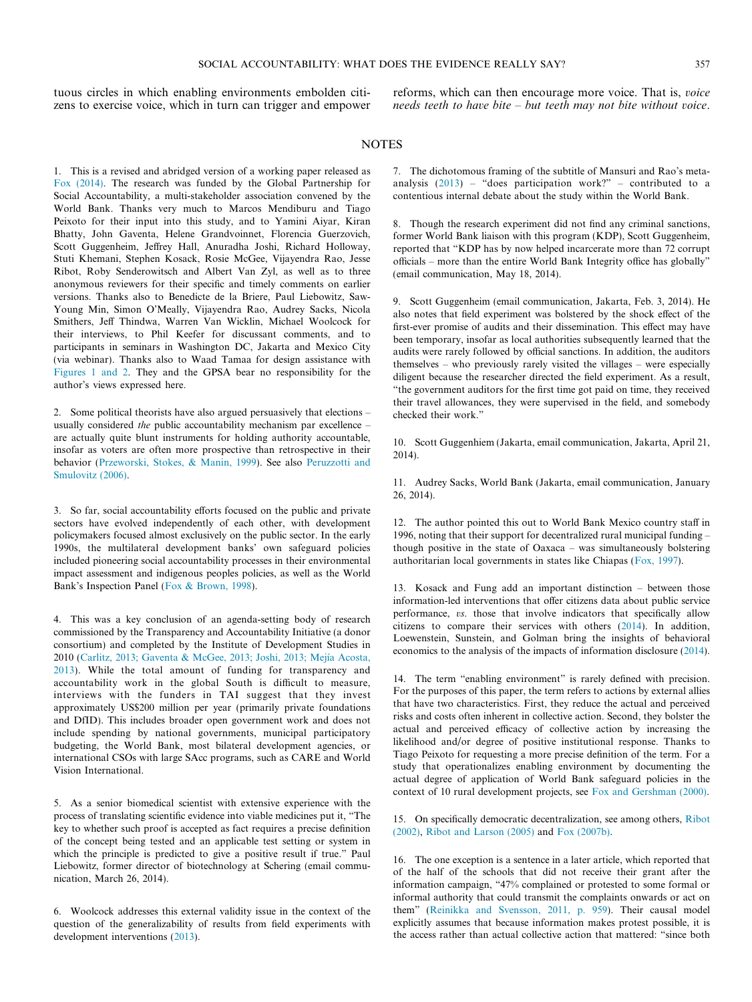tuous circles in which enabling environments embolden citizens to exercise voice, which in turn can trigger and empower reforms, which can then encourage more voice. That is, voice needs teeth to have bite – but teeth may not bite without voice.

# **NOTES**

1. This is a revised and abridged version of a working paper released as [Fox \(2014\).](#page-13-0) The research was funded by the Global Partnership for Social Accountability, a multi-stakeholder association convened by the World Bank. Thanks very much to Marcos Mendiburu and Tiago Peixoto for their input into this study, and to Yamini Aiyar, Kiran Bhatty, John Gaventa, Helene Grandvoinnet, Florencia Guerzovich, Scott Guggenheim, Jeffrey Hall, Anuradha Joshi, Richard Holloway, Stuti Khemani, Stephen Kosack, Rosie McGee, Vijayendra Rao, Jesse Ribot, Roby Senderowitsch and Albert Van Zyl, as well as to three anonymous reviewers for their specific and timely comments on earlier versions. Thanks also to Benedicte de la Briere, Paul Liebowitz, Saw-Young Min, Simon O'Meally, Vijayendra Rao, Audrey Sacks, Nicola Smithers, Jeff Thindwa, Warren Van Wicklin, Michael Woolcock for their interviews, to Phil Keefer for discussant comments, and to participants in seminars in Washington DC, Jakarta and Mexico City (via webinar). Thanks also to Waad Tamaa for design assistance with [Figures 1 and 2](#page-8-0). They and the GPSA bear no responsibility for the author's views expressed here.

2. Some political theorists have also argued persuasively that elections – usually considered the public accountability mechanism par excellence – are actually quite blunt instruments for holding authority accountable, insofar as voters are often more prospective than retrospective in their behavior [\(Przeworski, Stokes, & Manin, 1999](#page-14-0)). See also [Peruzzotti and](#page-14-0) [Smulovitz \(2006\)](#page-14-0).

3. So far, social accountability efforts focused on the public and private sectors have evolved independently of each other, with development policymakers focused almost exclusively on the public sector. In the early 1990s, the multilateral development banks' own safeguard policies included pioneering social accountability processes in their environmental impact assessment and indigenous peoples policies, as well as the World Bank's Inspection Panel ([Fox & Brown, 1998](#page-13-0)).

4. This was a key conclusion of an agenda-setting body of research commissioned by the Transparency and Accountability Initiative (a donor consortium) and completed by the Institute of Development Studies in 2010 (Carlitz, 2013; Gaventa & McGee, 2013; Joshi, 2013; Mejía Acosta, [2013](#page-13-0)). While the total amount of funding for transparency and accountability work in the global South is difficult to measure, interviews with the funders in TAI suggest that they invest approximately US\$200 million per year (primarily private foundations and DfID). This includes broader open government work and does not include spending by national governments, municipal participatory budgeting, the World Bank, most bilateral development agencies, or international CSOs with large SAcc programs, such as CARE and World Vision International.

5. As a senior biomedical scientist with extensive experience with the process of translating scientific evidence into viable medicines put it, "The key to whether such proof is accepted as fact requires a precise definition of the concept being tested and an applicable test setting or system in which the principle is predicted to give a positive result if true." Paul Liebowitz, former director of biotechnology at Schering (email communication, March 26, 2014).

6. Woolcock addresses this external validity issue in the context of the question of the generalizability of results from field experiments with development interventions ([2013\)](#page-15-0).

7. The dichotomous framing of the subtitle of Mansuri and Rao's metaanalysis  $(2013)$  $(2013)$  $(2013)$  – "does participation work?" – contributed to a contentious internal debate about the study within the World Bank.

8. Though the research experiment did not find any criminal sanctions, former World Bank liaison with this program (KDP), Scott Guggenheim, reported that "KDP has by now helped incarcerate more than 72 corrupt officials – more than the entire World Bank Integrity office has globally" (email communication, May 18, 2014).

9. Scott Guggenheim (email communication, Jakarta, Feb. 3, 2014). He also notes that field experiment was bolstered by the shock effect of the first-ever promise of audits and their dissemination. This effect may have been temporary, insofar as local authorities subsequently learned that the audits were rarely followed by official sanctions. In addition, the auditors themselves – who previously rarely visited the villages – were especially diligent because the researcher directed the field experiment. As a result, "the government auditors for the first time got paid on time, they received their travel allowances, they were supervised in the field, and somebody checked their work."

10. Scott Guggenhiem (Jakarta, email communication, Jakarta, April 21, 2014).

11. Audrey Sacks, World Bank (Jakarta, email communication, January 26, 2014).

12. The author pointed this out to World Bank Mexico country staff in 1996, noting that their support for decentralized rural municipal funding – though positive in the state of Oaxaca – was simultaneously bolstering authoritarian local governments in states like Chiapas ([Fox, 1997](#page-13-0)).

13. Kosack and Fung add an important distinction – between those information-led interventions that offer citizens data about public service performance, vs. those that involve indicators that specifically allow citizens to compare their services with others [\(2014](#page-14-0)). In addition, Loewenstein, Sunstein, and Golman bring the insights of behavioral economics to the analysis of the impacts of information disclosure ([2014\)](#page-14-0).

14. The term "enabling environment" is rarely defined with precision. For the purposes of this paper, the term refers to actions by external allies that have two characteristics. First, they reduce the actual and perceived risks and costs often inherent in collective action. Second, they bolster the actual and perceived efficacy of collective action by increasing the likelihood and/or degree of positive institutional response. Thanks to Tiago Peixoto for requesting a more precise definition of the term. For a study that operationalizes enabling environment by documenting the actual degree of application of World Bank safeguard policies in the context of 10 rural development projects, see [Fox and Gershman \(2000\).](#page-13-0)

15. On specifically democratic decentralization, see among others, [Ribot](#page-14-0) [\(2002\),](#page-14-0) [Ribot and Larson \(2005\)](#page-14-0) and [Fox \(2007b\)](#page-13-0).

16. The one exception is a sentence in a later article, which reported that of the half of the schools that did not receive their grant after the information campaign, "47% complained or protested to some formal or informal authority that could transmit the complaints onwards or act on them" ([Reinikka and Svensson, 2011, p. 959](#page-14-0)). Their causal model explicitly assumes that because information makes protest possible, it is the access rather than actual collective action that mattered: "since both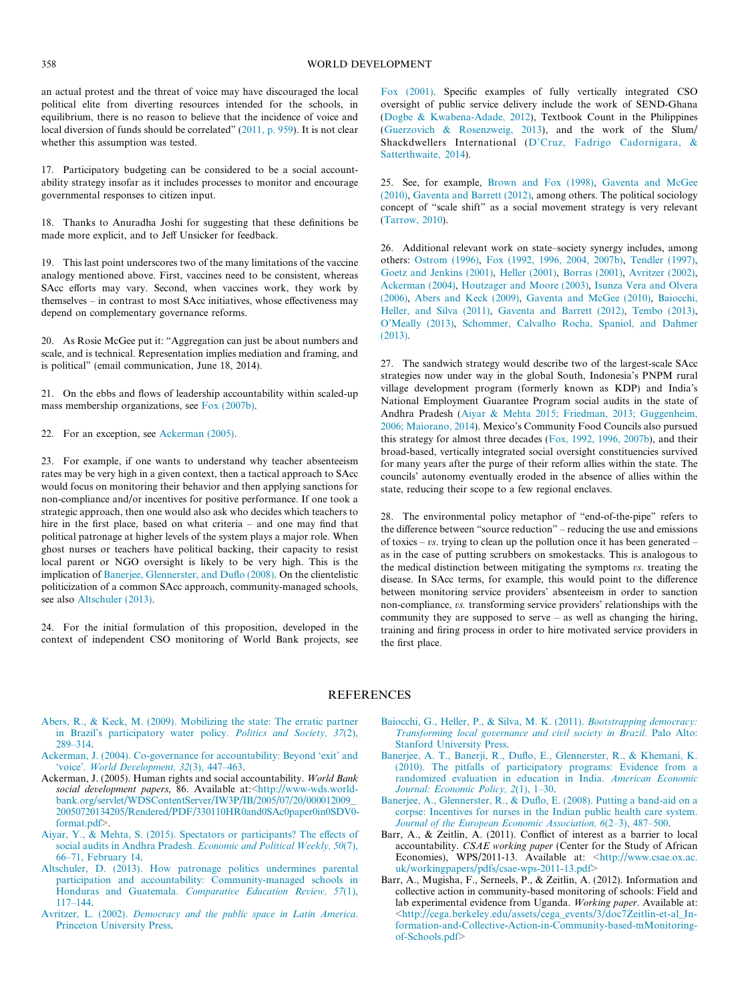<span id="page-12-0"></span>an actual protest and the threat of voice may have discouraged the local political elite from diverting resources intended for the schools, in equilibrium, there is no reason to believe that the incidence of voice and local diversion of funds should be correlated" ([2011, p. 959](#page-14-0)). It is not clear whether this assumption was tested.

17. Participatory budgeting can be considered to be a social accountability strategy insofar as it includes processes to monitor and encourage governmental responses to citizen input.

18. Thanks to Anuradha Joshi for suggesting that these definitions be made more explicit, and to Jeff Unsicker for feedback.

19. This last point underscores two of the many limitations of the vaccine analogy mentioned above. First, vaccines need to be consistent, whereas SAcc efforts may vary. Second, when vaccines work, they work by themselves – in contrast to most SAcc initiatives, whose effectiveness may depend on complementary governance reforms.

20. As Rosie McGee put it: "Aggregation can just be about numbers and scale, and is technical. Representation implies mediation and framing, and is political" (email communication, June 18, 2014).

21. On the ebbs and flows of leadership accountability within scaled-up mass membership organizations, see [Fox \(2007b\).](#page-13-0)

22. For an exception, see Ackerman (2005).

23. For example, if one wants to understand why teacher absenteeism rates may be very high in a given context, then a tactical approach to SAcc would focus on monitoring their behavior and then applying sanctions for non-compliance and/or incentives for positive performance. If one took a strategic approach, then one would also ask who decides which teachers to hire in the first place, based on what criteria – and one may find that political patronage at higher levels of the system plays a major role. When ghost nurses or teachers have political backing, their capacity to resist local parent or NGO oversight is likely to be very high. This is the implication of Banerjee, Glennerster, and Duflo (2008). On the clientelistic politicization of a common SAcc approach, community-managed schools, see also Altschuler (2013).

24. For the initial formulation of this proposition, developed in the context of independent CSO monitoring of World Bank projects, see [Fox \(2001\)](#page-13-0). Specific examples of fully vertically integrated CSO oversight of public service delivery include the work of SEND-Ghana [\(Dogbe & Kwabena-Adade, 2012](#page-13-0)), Textbook Count in the Philippines [\(Guerzovich & Rosenzweig, 2013](#page-13-0)), and the work of the Slum/ Shackdwellers International ([D'Cruz, Fadrigo](#page-13-0) Cadornigara, & [Satterthwaite, 2014\)](#page-13-0).

25. See, for example, [Brown and Fox \(1998\)](#page-13-0), [Gaventa and McGee](#page-13-0) [\(2010\),](#page-13-0) [Gaventa and Barrett \(2012\),](#page-13-0) among others. The political sociology concept of "scale shift" as a social movement strategy is very relevant [\(Tarrow, 2010\)](#page-14-0).

26. Additional relevant work on state–society synergy includes, among others: [Ostrom \(1996\)](#page-14-0), [Fox \(1992, 1996, 2004, 2007b\),](#page-13-0) [Tendler \(1997\),](#page-14-0) [Goetz and Jenkins \(2001\),](#page-13-0) [Heller \(2001\),](#page-13-0) [Borras \(2001\)](#page-13-0), Avritzer (2002), Ackerman (2004), [Houtzager and Moore \(2003\)](#page-13-0), [Isunza Vera and Olvera](#page-14-0) [\(2006\),](#page-14-0) Abers and Keck (2009), [Gaventa and McGee \(2010\),](#page-13-0) Baiocchi, Heller, and Silva (2011), [Gaventa and Barrett \(2012\),](#page-13-0) [Tembo \(2013\),](#page-14-0) [O'Meally \(2013\),](#page-14-0) [Schommer, Calvalho Rocha, Spaniol, and Dahmer](#page-14-0) [\(2013\).](#page-14-0)

27. The sandwich strategy would describe two of the largest-scale SAcc strategies now under way in the global South, Indonesia's PNPM rural village development program (formerly known as KDP) and India's National Employment Guarantee Program social audits in the state of Andhra Pradesh (Aiyar & Mehta 2015; Friedman, 2013; Guggenheim, 2006; Maiorano, 2014). Mexico's Community Food Councils also pursued this strategy for almost three decades ([Fox, 1992, 1996, 2007b](#page-13-0)), and their broad-based, vertically integrated social oversight constituencies survived for many years after the purge of their reform allies within the state. The councils' autonomy eventually eroded in the absence of allies within the state, reducing their scope to a few regional enclaves.

28. The environmental policy metaphor of "end-of-the-pipe" refers to the difference between "source reduction" – reducing the use and emissions of toxics –  $vs.$  trying to clean up the pollution once it has been generated – as in the case of putting scrubbers on smokestacks. This is analogous to the medical distinction between mitigating the symptoms vs. treating the disease. In SAcc terms, for example, this would point to the difference between monitoring service providers' absenteeism in order to sanction non-compliance, vs. transforming service providers' relationships with the community they are supposed to serve – as well as changing the hiring, training and firing process in order to hire motivated service providers in the first place.

# REFERENCES

- [Abers, R., & Keck, M. \(2009\). Mobilizing the state: The erratic partner](http://refhub.elsevier.com/S0305-750X(15)00070-4/h0005) [in Brazil's participatory water policy.](http://refhub.elsevier.com/S0305-750X(15)00070-4/h0005) Politics and Society, 37(2)[,](http://refhub.elsevier.com/S0305-750X(15)00070-4/h0005) [289–314](http://refhub.elsevier.com/S0305-750X(15)00070-4/h0005).
- [Ackerman, J. \(2004\). Co-governance for accountability: Beyond 'exit' and](http://refhub.elsevier.com/S0305-750X(15)00070-4/h0010) 'voice'. [World Development, 32](http://refhub.elsevier.com/S0305-750X(15)00070-4/h0010)(3[\), 447–463](http://refhub.elsevier.com/S0305-750X(15)00070-4/h0010).
- Ackerman, J. (2005). Human rights and social accountability. World Bank social development papers, 86. Available at:[<http://www-wds.world](http://www-wds.worldbank.org/servlet/WDSContentServer/IW3P/IB/2005/07/20/000012009_20050720134205/Rendered/PDF/330110HR0and0SAc0paper0in0SDV0format.pdf)[bank.org/servlet/WDSContentServer/IW3P/IB/2005/07/20/000012009\\_](http://www-wds.worldbank.org/servlet/WDSContentServer/IW3P/IB/2005/07/20/000012009_20050720134205/Rendered/PDF/330110HR0and0SAc0paper0in0SDV0format.pdf) [20050720134205/Rendered/PDF/330110HR0and0SAc0paper0in0SDV0](http://www-wds.worldbank.org/servlet/WDSContentServer/IW3P/IB/2005/07/20/000012009_20050720134205/Rendered/PDF/330110HR0and0SAc0paper0in0SDV0format.pdf) [format.pdf](http://www-wds.worldbank.org/servlet/WDSContentServer/IW3P/IB/2005/07/20/000012009_20050720134205/Rendered/PDF/330110HR0and0SAc0paper0in0SDV0format.pdf)>.
- [Aiyar, Y., & Mehta, S. \(2015\). Spectators or participants? The effects of](http://refhub.elsevier.com/S0305-750X(15)00070-4/h0020) social audits in Andhra Pradesh. [Economic and Political Weekly, 50](http://refhub.elsevier.com/S0305-750X(15)00070-4/h0020)(7)[,](http://refhub.elsevier.com/S0305-750X(15)00070-4/h0020) [66–71, February 14](http://refhub.elsevier.com/S0305-750X(15)00070-4/h0020).
- [Altschuler, D. \(2013\). How patronage politics undermines parental](http://refhub.elsevier.com/S0305-750X(15)00070-4/h0025) [participation and accountability: Community-managed schools in](http://refhub.elsevier.com/S0305-750X(15)00070-4/h0025) Honduras and Guatemala. [Comparative Education Review, 57](http://refhub.elsevier.com/S0305-750X(15)00070-4/h0025)(1)[,](http://refhub.elsevier.com/S0305-750X(15)00070-4/h0025) [117–144](http://refhub.elsevier.com/S0305-750X(15)00070-4/h0025).
- Avritzer, L. (2002). [Democracy and the public space in Latin America](http://refhub.elsevier.com/S0305-750X(15)00070-4/h0030)[.](http://refhub.elsevier.com/S0305-750X(15)00070-4/h0030) [Princeton University Press](http://refhub.elsevier.com/S0305-750X(15)00070-4/h0030).
- [Baiocchi, G., Heller, P., & Silva, M. K. \(2011\).](http://refhub.elsevier.com/S0305-750X(15)00070-4/h0035) Bootstrapping democracy: [Transforming local governance and civil society in Brazil](http://refhub.elsevier.com/S0305-750X(15)00070-4/h0035)[. Palo Alto:](http://refhub.elsevier.com/S0305-750X(15)00070-4/h0035) [Stanford University Press](http://refhub.elsevier.com/S0305-750X(15)00070-4/h0035).
- [Banerjee, A. T., Banerji, R., Duflo, E., Glennerster, R., & Khemani, K.](http://refhub.elsevier.com/S0305-750X(15)00070-4/h0040) [\(2010\). The pitfalls of participatory programs: Evidence from a](http://refhub.elsevier.com/S0305-750X(15)00070-4/h0040) [randomized evaluation in education in India.](http://refhub.elsevier.com/S0305-750X(15)00070-4/h0040) American Economic [Journal: Economic Policy, 2](http://refhub.elsevier.com/S0305-750X(15)00070-4/h0040)(1)[, 1–30.](http://refhub.elsevier.com/S0305-750X(15)00070-4/h0040)
- [Banerjee, A., Glennerster, R., & Duflo, E. \(2008\). Putting a band-aid on a](http://refhub.elsevier.com/S0305-750X(15)00070-4/h0045) [corpse: Incentives for nurses in the Indian public health care system.](http://refhub.elsevier.com/S0305-750X(15)00070-4/h0045) [Journal of the European Economic Association, 6](http://refhub.elsevier.com/S0305-750X(15)00070-4/h0045)(2–3)[, 487–500](http://refhub.elsevier.com/S0305-750X(15)00070-4/h0045).
- Barr, A., & Zeitlin, A. (2011). Conflict of interest as a barrier to local accountability. CSAE working paper (Center for the Study of African Economies), WPS/2011-13. Available at: [<http://www.csae.ox.ac.](http://www.csae.ox.ac.uk/workingpapers/pdfs/csae-wps-2011-13.pdf) [uk/workingpapers/pdfs/csae-wps-2011-13.pdf](http://www.csae.ox.ac.uk/workingpapers/pdfs/csae-wps-2011-13.pdf)>
- Barr, A., Mugisha, F., Serneels, P., & Zeitlin, A. (2012). Information and collective action in community-based monitoring of schools: Field and lab experimental evidence from Uganda. Working paper. Available at: <[http://cega.berkeley.edu/assets/cega\\_events/3/doc7Zeitlin-et-al\\_In](http://cega.berkeley.edu/assets/cega_events/3/doc7Zeitlin-et-al_Information-and-Collective-Action-in-Community-based-mMonitoring-of-Schools.pdf)[formation-and-Collective-Action-in-Community-based-mMonitoring](http://cega.berkeley.edu/assets/cega_events/3/doc7Zeitlin-et-al_Information-and-Collective-Action-in-Community-based-mMonitoring-of-Schools.pdf)[of-Schools.pdf](http://cega.berkeley.edu/assets/cega_events/3/doc7Zeitlin-et-al_Information-and-Collective-Action-in-Community-based-mMonitoring-of-Schools.pdf)>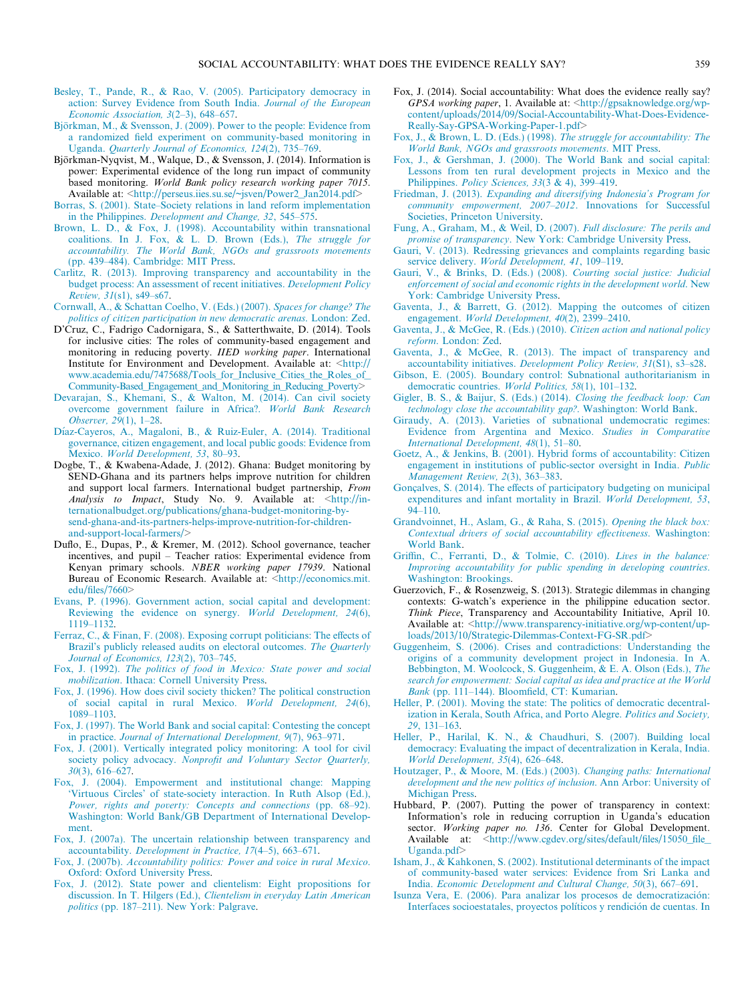- <span id="page-13-0"></span>[Besley, T., Pande, R., & Rao, V. \(2005\). Participatory democracy in](http://refhub.elsevier.com/S0305-750X(15)00070-4/h0060) [action: Survey Evidence from South India.](http://refhub.elsevier.com/S0305-750X(15)00070-4/h0060) Journal of the European [Economic Association, 3](http://refhub.elsevier.com/S0305-750X(15)00070-4/h0060)(2–3[\), 648–657](http://refhub.elsevier.com/S0305-750X(15)00070-4/h0060).
- Björkman, M., & Svensson, J. (2009). Power to the people: Evidence from [a randomized field experiment on community-based monitoring in](http://refhub.elsevier.com/S0305-750X(15)00070-4/h0065) Uganda. [Quarterly Journal of Economics, 124](http://refhub.elsevier.com/S0305-750X(15)00070-4/h0065)(2)[, 735–769](http://refhub.elsevier.com/S0305-750X(15)00070-4/h0065).
- Björkman-Nyqvist, M., Walque, D., & Svensson, J. (2014). Information is power: Experimental evidence of the long run impact of community based monitoring. World Bank policy research working paper 7015. Available at: <[http://perseus.iies.su.se/~jsven/Power2\\_Jan2014.pdf>](http://perseus.iies.su.se/~jsven/Power2_Jan2014.pdf)
- [Borras, S. \(2001\). State–Society relations in land reform implementation](http://refhub.elsevier.com/S0305-750X(15)00070-4/h0075) in the Philippines. [Development and Change, 32](http://refhub.elsevier.com/S0305-750X(15)00070-4/h0075)[, 545–575](http://refhub.elsevier.com/S0305-750X(15)00070-4/h0075).
- [Brown, L. D., & Fox, J. \(1998\). Accountability within transnational](http://refhub.elsevier.com/S0305-750X(15)00070-4/h0080) [coalitions. In J. Fox, & L. D. Brown \(Eds.\),](http://refhub.elsevier.com/S0305-750X(15)00070-4/h0080) The struggle for [accountability. The World Bank, NGOs and grassroots movements](http://refhub.elsevier.com/S0305-750X(15)00070-4/h0080) [\(pp. 439–484\). Cambridge: MIT Press](http://refhub.elsevier.com/S0305-750X(15)00070-4/h0080).
- [Carlitz, R. \(2013\). Improving transparency and accountability in the](http://refhub.elsevier.com/S0305-750X(15)00070-4/h0085) [budget process: An assessment of recent initiatives.](http://refhub.elsevier.com/S0305-750X(15)00070-4/h0085) Development Policy [Review, 31](http://refhub.elsevier.com/S0305-750X(15)00070-4/h0085)(s1)[, s49–s67.](http://refhub.elsevier.com/S0305-750X(15)00070-4/h0085)
- [Cornwall, A., & Schattan Coelho, V. \(Eds.\) \(2007\).](http://refhub.elsevier.com/S0305-750X(15)00070-4/h0090) Spaces for change? The [politics of citizen participation in new democratic arenas](http://refhub.elsevier.com/S0305-750X(15)00070-4/h0090)[. London: Zed](http://refhub.elsevier.com/S0305-750X(15)00070-4/h0090).
- D'Cruz, C., Fadrigo Cadornigara, S., & Satterthwaite, D. (2014). Tools for inclusive cities: The roles of community-based engagement and monitoring in reducing poverty. IIED working paper. International Institute for Environment and Development. Available at: <[http://](http://www.academia.edu/7475688/Tools_for_Inclusive_Cities_the_Roles_of_Community-Based_Engagement_and_Monitoring_in_Reducing_Poverty) www.academia.edu/7475688/Tools for Inclusive Cities the Roles of [Community-Based\\_Engagement\\_and\\_Monitoring\\_in\\_Reducing\\_Poverty](http://www.academia.edu/7475688/Tools_for_Inclusive_Cities_the_Roles_of_Community-Based_Engagement_and_Monitoring_in_Reducing_Poverty)>
- [Devarajan, S., Khemani, S., & Walton, M. \(2014\). Can civil society](http://refhub.elsevier.com/S0305-750X(15)00070-4/h0100) [overcome government failure in Africa?.](http://refhub.elsevier.com/S0305-750X(15)00070-4/h0100) World Bank Research [Observer, 29](http://refhub.elsevier.com/S0305-750X(15)00070-4/h0100)(1)[, 1–28.](http://refhub.elsevier.com/S0305-750X(15)00070-4/h0100)
- Díaz-Cayeros, A., Magaloni, B., & Ruiz-Euler, A. (2014). Traditional [governance, citizen engagement, and local public goods: Evidence from](http://refhub.elsevier.com/S0305-750X(15)00070-4/h0105) Mexico. [World Development, 53](http://refhub.elsevier.com/S0305-750X(15)00070-4/h0105)[, 80–93](http://refhub.elsevier.com/S0305-750X(15)00070-4/h0105).
- Dogbe, T., & Kwabena-Adade, J. (2012). Ghana: Budget monitoring by SEND-Ghana and its partners helps improve nutrition for children and support local farmers. International budget partnership, From Analysis to Impact, Study No. 9. Available at:  $\langle \frac{http://in-1}{http://in-1} \rangle$ [ternationalbudget.org/publications/ghana-budget-monitoring-by](http://internationalbudget.org/publications/ghana-budget-monitoring-by-send-ghana-and-its-partners-helps-improve-nutrition-for-children-and-support-local-farmers/)[send-ghana-and-its-partners-helps-improve-nutrition-for-children](http://internationalbudget.org/publications/ghana-budget-monitoring-by-send-ghana-and-its-partners-helps-improve-nutrition-for-children-and-support-local-farmers/)[and-support-local-farmers/](http://internationalbudget.org/publications/ghana-budget-monitoring-by-send-ghana-and-its-partners-helps-improve-nutrition-for-children-and-support-local-farmers/)>
- Duflo, E., Dupas, P., & Kremer, M. (2012). School governance, teacher incentives, and pupil – Teacher ratios: Experimental evidence from Kenyan primary schools. NBER working paper 17939. National Bureau of Economic Research. Available at: <[http://economics.mit.](http://economics.mit.edu/files/7660) [edu/files/7660](http://economics.mit.edu/files/7660)>
- [Evans, P. \(1996\). Government action, social capital and development:](http://refhub.elsevier.com/S0305-750X(15)00070-4/h0120) [Reviewing the evidence on synergy.](http://refhub.elsevier.com/S0305-750X(15)00070-4/h0120) World Development, 24(6[\),](http://refhub.elsevier.com/S0305-750X(15)00070-4/h0120) [1119–1132.](http://refhub.elsevier.com/S0305-750X(15)00070-4/h0120)
- [Ferraz, C., & Finan, F. \(2008\). Exposing corrupt politicians: The effects of](http://refhub.elsevier.com/S0305-750X(15)00070-4/h0125) [Brazil's publicly released audits on electoral outcomes.](http://refhub.elsevier.com/S0305-750X(15)00070-4/h0125) The Quarterly [Journal of Economics, 123](http://refhub.elsevier.com/S0305-750X(15)00070-4/h0125)(2)[, 703–745](http://refhub.elsevier.com/S0305-750X(15)00070-4/h0125).
- Fox, J. (1992). [The politics of food in Mexico: State power and social](http://refhub.elsevier.com/S0305-750X(15)00070-4/h0130) [mobilization](http://refhub.elsevier.com/S0305-750X(15)00070-4/h0130)[. Ithaca: Cornell University Press.](http://refhub.elsevier.com/S0305-750X(15)00070-4/h0130)
- [Fox, J. \(1996\). How does civil society thicken? The political construction](http://refhub.elsevier.com/S0305-750X(15)00070-4/h0135) [of social capital in rural Mexico.](http://refhub.elsevier.com/S0305-750X(15)00070-4/h0135) World Development, 24(6[\),](http://refhub.elsevier.com/S0305-750X(15)00070-4/h0135) [1089–1103.](http://refhub.elsevier.com/S0305-750X(15)00070-4/h0135)
- [Fox, J. \(1997\). The World Bank and social capital: Contesting the concept](http://refhub.elsevier.com/S0305-750X(15)00070-4/h0140) in practice. [Journal of International Development, 9](http://refhub.elsevier.com/S0305-750X(15)00070-4/h0140)(7[\), 963–971](http://refhub.elsevier.com/S0305-750X(15)00070-4/h0140).
- [Fox, J. \(2001\). Vertically integrated policy monitoring: A tool for civil](http://refhub.elsevier.com/S0305-750X(15)00070-4/h0145) society policy advocacy. [Nonprofit and Voluntary Sector Quarterly,](http://refhub.elsevier.com/S0305-750X(15)00070-4/h0145) 30[\(3\), 616–627.](http://refhub.elsevier.com/S0305-750X(15)00070-4/h0145)
- [Fox, J. \(2004\). Empowerment and institutional change: Mapping](http://refhub.elsevier.com/S0305-750X(15)00070-4/h0550) ['Virtuous Circles' of state-society interaction. In Ruth Alsop \(Ed.\),](http://refhub.elsevier.com/S0305-750X(15)00070-4/h0550) [Power, rights and poverty: Concepts and connections](http://refhub.elsevier.com/S0305-750X(15)00070-4/h0550) [\(pp. 68–92\).](http://refhub.elsevier.com/S0305-750X(15)00070-4/h0550) [Washington: World Bank/GB Department of International Develop](http://refhub.elsevier.com/S0305-750X(15)00070-4/h0550)[ment](http://refhub.elsevier.com/S0305-750X(15)00070-4/h0550).
- [Fox, J. \(2007a\). The uncertain relationship between transparency and](http://refhub.elsevier.com/S0305-750X(15)00070-4/h0150) accountability. [Development in Practice, 17](http://refhub.elsevier.com/S0305-750X(15)00070-4/h0150)(4–5[\), 663–671.](http://refhub.elsevier.com/S0305-750X(15)00070-4/h0150)
- Fox, J. (2007b). [Accountability politics: Power and voice in rural Mexico](http://refhub.elsevier.com/S0305-750X(15)00070-4/h0155)[.](http://refhub.elsevier.com/S0305-750X(15)00070-4/h0155) [Oxford: Oxford University Press](http://refhub.elsevier.com/S0305-750X(15)00070-4/h0155).
- [Fox, J. \(2012\). State power and clientelism: Eight propositions for](http://refhub.elsevier.com/S0305-750X(15)00070-4/h0555) discussion. In T. Hilgers (Ed.), [Clientelism in everyday Latin American](http://refhub.elsevier.com/S0305-750X(15)00070-4/h0555) [politics](http://refhub.elsevier.com/S0305-750X(15)00070-4/h0555) [\(pp. 187–211\). New York: Palgrave](http://refhub.elsevier.com/S0305-750X(15)00070-4/h0555).
- Fox, J. (2014). Social accountability: What does the evidence really say?  $GPSA$  working paper, 1. Available at:  $\langle \text{http://gpsaknowledge.org/wp-}$ [content/uploads/2014/09/Social-Accountability-What-Does-Evidence-](http://gpsaknowledge.org/wp-content/uploads/2014/09/Social-Accountability-What-Does-Evidence-Really-Say-GPSA-Working-Paper-1.pdf)[Really-Say-GPSA-Working-Paper-1.pdf>](http://gpsaknowledge.org/wp-content/uploads/2014/09/Social-Accountability-What-Does-Evidence-Really-Say-GPSA-Working-Paper-1.pdf)
- [Fox, J., & Brown, L. D. \(Eds.\) \(1998\).](http://refhub.elsevier.com/S0305-750X(15)00070-4/h0165) The struggle for accountability: The [World Bank, NGOs and grassroots movements](http://refhub.elsevier.com/S0305-750X(15)00070-4/h0165)[. MIT Press](http://refhub.elsevier.com/S0305-750X(15)00070-4/h0165).
- [Fox, J., & Gershman, J. \(2000\). The World Bank and social capital:](http://refhub.elsevier.com/S0305-750X(15)00070-4/h0170) [Lessons from ten rural development projects in Mexico and the](http://refhub.elsevier.com/S0305-750X(15)00070-4/h0170) Philippines. [Policy Sciences, 33](http://refhub.elsevier.com/S0305-750X(15)00070-4/h0170)(3 & 4[\), 399–419](http://refhub.elsevier.com/S0305-750X(15)00070-4/h0170).
- Friedman, J. (2013). [Expanding and diversifying Indonesia's Program for](http://refhub.elsevier.com/S0305-750X(15)00070-4/h0175) [community empowerment, 2007–2012](http://refhub.elsevier.com/S0305-750X(15)00070-4/h0175)[. Innovations for Successful](http://refhub.elsevier.com/S0305-750X(15)00070-4/h0175) [Societies, Princeton University](http://refhub.elsevier.com/S0305-750X(15)00070-4/h0175).
- [Fung, A., Graham, M., & Weil, D. \(2007\).](http://refhub.elsevier.com/S0305-750X(15)00070-4/h0180) Full disclosure: The perils and [promise of transparency](http://refhub.elsevier.com/S0305-750X(15)00070-4/h0180)[. New York: Cambridge University Press](http://refhub.elsevier.com/S0305-750X(15)00070-4/h0180).
- [Gauri, V. \(2013\). Redressing grievances and complaints regarding basic](http://refhub.elsevier.com/S0305-750X(15)00070-4/h0185) service delivery. [World Development, 41](http://refhub.elsevier.com/S0305-750X(15)00070-4/h0185), 109-119.
- [Gauri, V., & Brinks, D. \(Eds.\) \(2008\).](http://refhub.elsevier.com/S0305-750X(15)00070-4/h0190) Courting social justice: Judicial [enforcement of social and economic rights in the development world](http://refhub.elsevier.com/S0305-750X(15)00070-4/h0190)[. New](http://refhub.elsevier.com/S0305-750X(15)00070-4/h0190) [York: Cambridge University Press.](http://refhub.elsevier.com/S0305-750X(15)00070-4/h0190)
- [Gaventa, J., & Barrett, G. \(2012\). Mapping the outcomes of citizen](http://refhub.elsevier.com/S0305-750X(15)00070-4/h0195) engagement. [World Development, 40](http://refhub.elsevier.com/S0305-750X(15)00070-4/h0195)(2), 2399-2410.
- [Gaventa, J., & McGee, R. \(Eds.\) \(2010\).](http://refhub.elsevier.com/S0305-750X(15)00070-4/h0200) Citizen action and national policy [reform](http://refhub.elsevier.com/S0305-750X(15)00070-4/h0200)[. London: Zed](http://refhub.elsevier.com/S0305-750X(15)00070-4/h0200).
- [Gaventa, J., & McGee, R. \(2013\). The impact of transparency and](http://refhub.elsevier.com/S0305-750X(15)00070-4/h0205) accountability initiatives. [Development Policy Review, 31](http://refhub.elsevier.com/S0305-750X(15)00070-4/h0205)(S1), s3-s28.
- [Gibson, E. \(2005\). Boundary control: Subnational authoritarianism in](http://refhub.elsevier.com/S0305-750X(15)00070-4/h0210) [democratic countries.](http://refhub.elsevier.com/S0305-750X(15)00070-4/h0210) World Politics, 58(1)[, 101–132](http://refhub.elsevier.com/S0305-750X(15)00070-4/h0210).
- [Gigler, B. S., & Baijur, S. \(Eds.\) \(2014\).](http://refhub.elsevier.com/S0305-750X(15)00070-4/h0215) Closing the feedback loop: Can [technology close the accountability gap?](http://refhub.elsevier.com/S0305-750X(15)00070-4/h0215)[. Washington: World Bank](http://refhub.elsevier.com/S0305-750X(15)00070-4/h0215).
- [Giraudy, A. \(2013\). Varieties of subnational undemocratic regimes:](http://refhub.elsevier.com/S0305-750X(15)00070-4/h0220) [Evidence from Argentina and Mexico.](http://refhub.elsevier.com/S0305-750X(15)00070-4/h0220) Studies in Comparative [International Development, 48](http://refhub.elsevier.com/S0305-750X(15)00070-4/h0220)(1)[, 51–80](http://refhub.elsevier.com/S0305-750X(15)00070-4/h0220).
- [Goetz, A., & Jenkins, B. \(2001\). Hybrid forms of accountability: Citizen](http://refhub.elsevier.com/S0305-750X(15)00070-4/h0225) [engagement in institutions of public-sector oversight in India.](http://refhub.elsevier.com/S0305-750X(15)00070-4/h0225) Public [Management Review, 2](http://refhub.elsevier.com/S0305-750X(15)00070-4/h0225)(3)[, 363–383.](http://refhub.elsevier.com/S0305-750X(15)00070-4/h0225)
- Gonçalves, S. (2014). The effects of participatory budgeting on municipal [expenditures and infant mortality in Brazil.](http://refhub.elsevier.com/S0305-750X(15)00070-4/h0230) World Development[,](http://refhub.elsevier.com/S0305-750X(15)00070-4/h0230) 53, [94–110.](http://refhub.elsevier.com/S0305-750X(15)00070-4/h0230)
- [Grandvoinnet, H., Aslam, G., & Raha, S. \(2015\).](http://refhub.elsevier.com/S0305-750X(15)00070-4/h0235) Opening the black box: [Contextual drivers of social accountability effectiveness](http://refhub.elsevier.com/S0305-750X(15)00070-4/h0235)[. Washington:](http://refhub.elsevier.com/S0305-750X(15)00070-4/h0235) [World Bank.](http://refhub.elsevier.com/S0305-750X(15)00070-4/h0235)
- [Griffin, C., Ferranti, D., & Tolmie, C. \(2010\).](http://refhub.elsevier.com/S0305-750X(15)00070-4/h0240) Lives in the balance: [Improving accountability for public spending in developing countries](http://refhub.elsevier.com/S0305-750X(15)00070-4/h0240)[.](http://refhub.elsevier.com/S0305-750X(15)00070-4/h0240) [Washington: Brookings](http://refhub.elsevier.com/S0305-750X(15)00070-4/h0240).
- Guerzovich, F., & Rosenzweig, S. (2013). Strategic dilemmas in changing contexts: G-watch's experience in the philippine education sector. Think Piece, Transparency and Accountability Initiative, April 10. Available at: [<http://www.transparency-initiative.org/wp-content/up](http://www.transparency-initiative.org/wp-content/uploads/2013/10/Strategic-Dilemmas-Context-FG-SR.pdf)[loads/2013/10/Strategic-Dilemmas-Context-FG-SR.pdf>](http://www.transparency-initiative.org/wp-content/uploads/2013/10/Strategic-Dilemmas-Context-FG-SR.pdf)
- [Guggenheim, S. \(2006\). Crises and contradictions: Understanding the](http://refhub.elsevier.com/S0305-750X(15)00070-4/h0250) [origins of a community development project in Indonesia. In A.](http://refhub.elsevier.com/S0305-750X(15)00070-4/h0250) [Bebbington, M. Woolcock, S. Guggenheim, & E. A. Olson \(Eds.\),](http://refhub.elsevier.com/S0305-750X(15)00070-4/h0250) The [search for empowerment: Social capital as idea and practice at the World](http://refhub.elsevier.com/S0305-750X(15)00070-4/h0250) [Bank](http://refhub.elsevier.com/S0305-750X(15)00070-4/h0250) [\(pp. 111–144\). Bloomfield, CT: Kumarian.](http://refhub.elsevier.com/S0305-750X(15)00070-4/h0250)
- [Heller, P. \(2001\). Moving the state: The politics of democratic decentral](http://refhub.elsevier.com/S0305-750X(15)00070-4/h0255)[ization in Kerala, South Africa, and Porto Alegre.](http://refhub.elsevier.com/S0305-750X(15)00070-4/h0255) Politics and Society, [29](http://refhub.elsevier.com/S0305-750X(15)00070-4/h0255)[, 131–163.](http://refhub.elsevier.com/S0305-750X(15)00070-4/h0255)
- [Heller, P., Harilal, K. N., & Chaudhuri, S. \(2007\). Building local](http://refhub.elsevier.com/S0305-750X(15)00070-4/h0260) [democracy: Evaluating the impact of decentralization in Kerala, India.](http://refhub.elsevier.com/S0305-750X(15)00070-4/h0260) [World Development, 35](http://refhub.elsevier.com/S0305-750X(15)00070-4/h0260)(4)[, 626–648](http://refhub.elsevier.com/S0305-750X(15)00070-4/h0260).
- [Houtzager, P., & Moore, M. \(Eds.\) \(2003\).](http://refhub.elsevier.com/S0305-750X(15)00070-4/h0265) Changing paths: International [development and the new politics of inclusion](http://refhub.elsevier.com/S0305-750X(15)00070-4/h0265)[. Ann Arbor: University of](http://refhub.elsevier.com/S0305-750X(15)00070-4/h0265) [Michigan Press.](http://refhub.elsevier.com/S0305-750X(15)00070-4/h0265)
- Hubbard, P. (2007). Putting the power of transparency in context: Information's role in reducing corruption in Uganda's education sector. Working paper no. 136. Center for Global Development. Available at:  $\left| \right|$  <[http://www.cgdev.org/sites/default/files/15050\\_file\\_](http://www.cgdev.org/sites/default/files/15050_file_Uganda.pdf) [Uganda.pdf>](http://www.cgdev.org/sites/default/files/15050_file_Uganda.pdf)
- [Isham, J., & Kahkonen, S. \(2002\). Institutional determinants of the impact](http://refhub.elsevier.com/S0305-750X(15)00070-4/h0275) [of community-based water services: Evidence from Sri Lanka and](http://refhub.elsevier.com/S0305-750X(15)00070-4/h0275) India. [Economic Development and Cultural Change, 50](http://refhub.elsevier.com/S0305-750X(15)00070-4/h0275)(3)[, 667–691](http://refhub.elsevier.com/S0305-750X(15)00070-4/h0275).
- Isunza Vera, E. (2006). Para analizar los procesos de democratización: Interfaces socioestatales, proyectos políticos y rendición de cuentas. In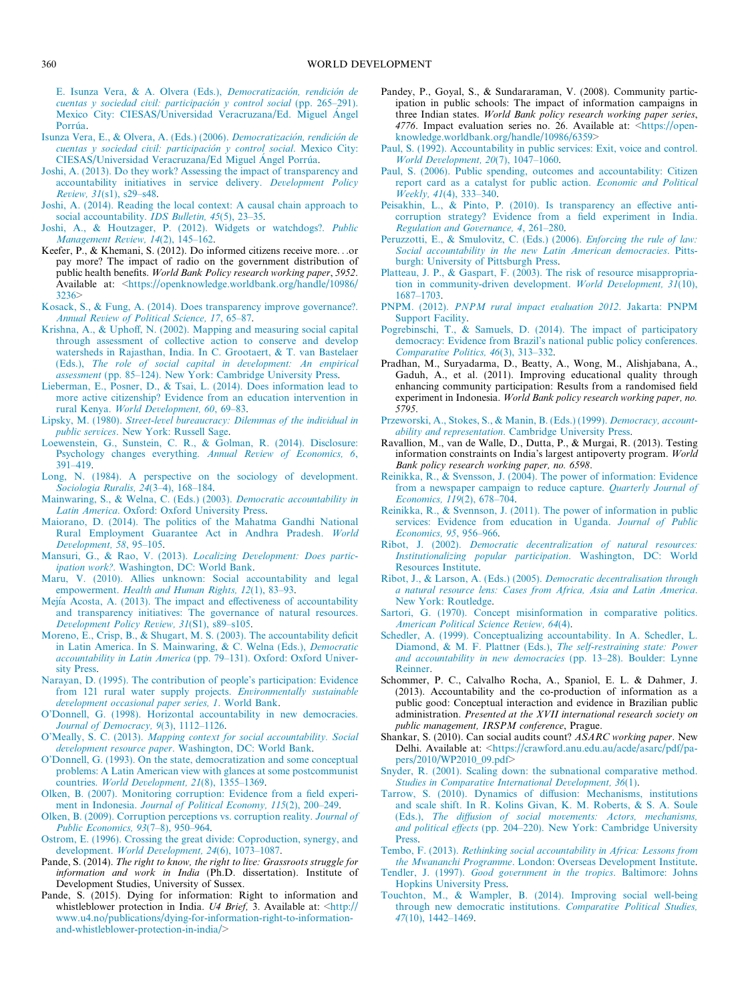<span id="page-14-0"></span>[E. Isunza Vera, & A. Olvera \(Eds.\),](http://refhub.elsevier.com/S0305-750X(15)00070-4/h0280) Democratización, rendición de cuentas y sociedad civil: participación y control social [\(pp. 265–291\).](http://refhub.elsevier.com/S0305-750X(15)00070-4/h0280) Mexico City: CIESAS/Universidad Veracruzana/Ed. Miguel Angel Porrúa.

- [Isunza Vera, E., & Olvera, A. \(Eds.\) \(2006\).](http://refhub.elsevier.com/S0305-750X(15)00070-4/h0285) Democratización, rendición de cuentas y sociedad civil: participación y control social[. Mexico City:](http://refhub.elsevier.com/S0305-750X(15)00070-4/h0285) CIESAS/Universidad Veracruzana/Ed Miguel Angel Porrúa.
- [Joshi, A. \(2013\). Do they work? Assessing the impact of transparency and](http://refhub.elsevier.com/S0305-750X(15)00070-4/h0290) [accountability initiatives in service delivery.](http://refhub.elsevier.com/S0305-750X(15)00070-4/h0290) Development Policy [Review, 31](http://refhub.elsevier.com/S0305-750X(15)00070-4/h0290)(s1[\), s29–s48.](http://refhub.elsevier.com/S0305-750X(15)00070-4/h0290)
- [Joshi, A. \(2014\). Reading the local context: A causal chain approach to](http://refhub.elsevier.com/S0305-750X(15)00070-4/h0295) [social accountability.](http://refhub.elsevier.com/S0305-750X(15)00070-4/h0295) *IDS Bulletin*, 45(5), 23-35.
- [Joshi, A., & Houtzager, P. \(2012\). Widgets or watchdogs?.](http://refhub.elsevier.com/S0305-750X(15)00070-4/h0300) Public [Management Review, 14](http://refhub.elsevier.com/S0305-750X(15)00070-4/h0300)(2[\), 145–162.](http://refhub.elsevier.com/S0305-750X(15)00070-4/h0300)
- Keefer, P., & Khemani, S. (2012). Do informed citizens receive more...or pay more? The impact of radio on the government distribution of public health benefits. World Bank Policy research working paper, 5952. Available at: <[https://openknowledge.worldbank.org/handle/10986/](https://openknowledge.worldbank.org/handle/10986/3236) [3236](https://openknowledge.worldbank.org/handle/10986/3236)>
- [Kosack, S., & Fung, A. \(2014\). Does transparency improve governance?.](http://refhub.elsevier.com/S0305-750X(15)00070-4/h0310) [Annual Review of Political Science, 17](http://refhub.elsevier.com/S0305-750X(15)00070-4/h0310)[, 65–87](http://refhub.elsevier.com/S0305-750X(15)00070-4/h0310).
- [Krishna, A., & Uphoff, N. \(2002\). Mapping and measuring social capital](http://refhub.elsevier.com/S0305-750X(15)00070-4/h0315) [through assessment of collective action to conserve and develop](http://refhub.elsevier.com/S0305-750X(15)00070-4/h0315) [watersheds in Rajasthan, India. In C. Grootaert, & T. van Bastelaer](http://refhub.elsevier.com/S0305-750X(15)00070-4/h0315) (Eds.), [The role of social capital in development: An empirical](http://refhub.elsevier.com/S0305-750X(15)00070-4/h0315) [assessment](http://refhub.elsevier.com/S0305-750X(15)00070-4/h0315) [\(pp. 85–124\). New York: Cambridge University Press](http://refhub.elsevier.com/S0305-750X(15)00070-4/h0315).
- [Lieberman, E., Posner, D., & Tsai, L. \(2014\). Does information lead to](http://refhub.elsevier.com/S0305-750X(15)00070-4/h0320) [more active citizenship? Evidence from an education intervention in](http://refhub.elsevier.com/S0305-750X(15)00070-4/h0320) rural Kenya. [World Development, 60](http://refhub.elsevier.com/S0305-750X(15)00070-4/h0320)[, 69–83.](http://refhub.elsevier.com/S0305-750X(15)00070-4/h0320)
- Lipsky, M. (1980). [Street-level bureaucracy: Dilemmas of the individual in](http://refhub.elsevier.com/S0305-750X(15)00070-4/h0325) [public services](http://refhub.elsevier.com/S0305-750X(15)00070-4/h0325)[. New York: Russell Sage.](http://refhub.elsevier.com/S0305-750X(15)00070-4/h0325)
- [Loewenstein, G., Sunstein, C. R., & Golman, R. \(2014\). Disclosure:](http://refhub.elsevier.com/S0305-750X(15)00070-4/h0330) Psychology changes everything. [Annual Review of Economics, 6](http://refhub.elsevier.com/S0305-750X(15)00070-4/h0330)[,](http://refhub.elsevier.com/S0305-750X(15)00070-4/h0330) [391–419](http://refhub.elsevier.com/S0305-750X(15)00070-4/h0330).
- [Long, N. \(1984\). A perspective on the sociology of development.](http://refhub.elsevier.com/S0305-750X(15)00070-4/h0335) [Sociologia Ruralis, 24](http://refhub.elsevier.com/S0305-750X(15)00070-4/h0335)(3–4)[, 168–184](http://refhub.elsevier.com/S0305-750X(15)00070-4/h0335).
- [Mainwaring, S., & Welna, C. \(Eds.\) \(2003\).](http://refhub.elsevier.com/S0305-750X(15)00070-4/h0340) Democratic accountability in [Latin America](http://refhub.elsevier.com/S0305-750X(15)00070-4/h0340)[. Oxford: Oxford University Press.](http://refhub.elsevier.com/S0305-750X(15)00070-4/h0340)
- [Maiorano, D. \(2014\). The politics of the Mahatma Gandhi National](http://refhub.elsevier.com/S0305-750X(15)00070-4/h0345) [Rural Employment Guarantee Act in Andhra Pradesh.](http://refhub.elsevier.com/S0305-750X(15)00070-4/h0345) World [Development, 58](http://refhub.elsevier.com/S0305-750X(15)00070-4/h0345)[, 95–105.](http://refhub.elsevier.com/S0305-750X(15)00070-4/h0345)
- Mansuri, G., & Rao, V. (2013). [Localizing Development: Does partic](http://refhub.elsevier.com/S0305-750X(15)00070-4/h0350)[ipation work?](http://refhub.elsevier.com/S0305-750X(15)00070-4/h0350)[. Washington, DC: World Bank.](http://refhub.elsevier.com/S0305-750X(15)00070-4/h0350)
- [Maru, V. \(2010\). Allies unknown: Social accountability and legal](http://refhub.elsevier.com/S0305-750X(15)00070-4/h0355) empowerment. [Health and Human Rights, 12](http://refhub.elsevier.com/S0305-750X(15)00070-4/h0355)(1[\), 83–93.](http://refhub.elsevier.com/S0305-750X(15)00070-4/h0355)
- Mejía Acosta, A. (2013). The impact and effectiveness of accountability [and transparency initiatives: The governance of natural resources.](http://refhub.elsevier.com/S0305-750X(15)00070-4/h0360) [Development Policy Review, 31](http://refhub.elsevier.com/S0305-750X(15)00070-4/h0360)(S1)[, s89–s105](http://refhub.elsevier.com/S0305-750X(15)00070-4/h0360).
- [Moreno, E., Crisp, B., & Shugart, M. S. \(2003\). The accountability deficit](http://refhub.elsevier.com/S0305-750X(15)00070-4/h0365) [in Latin America. In S. Mainwaring, & C. Welna \(Eds.\),](http://refhub.elsevier.com/S0305-750X(15)00070-4/h0365) Democratic [accountability in Latin America](http://refhub.elsevier.com/S0305-750X(15)00070-4/h0365) [\(pp. 79–131\). Oxford: Oxford Univer](http://refhub.elsevier.com/S0305-750X(15)00070-4/h0365)[sity Press](http://refhub.elsevier.com/S0305-750X(15)00070-4/h0365).
- [Narayan, D. \(1995\). The contribution of people's participation: Evidence](http://refhub.elsevier.com/S0305-750X(15)00070-4/h0370) [from 121 rural water supply projects.](http://refhub.elsevier.com/S0305-750X(15)00070-4/h0370) Environmentally sustainable [development occasional paper series, 1](http://refhub.elsevier.com/S0305-750X(15)00070-4/h0370)[. World Bank](http://refhub.elsevier.com/S0305-750X(15)00070-4/h0370).
- [O'Donnell, G. \(1998\). Horizontal accountability in new democracies.](http://refhub.elsevier.com/S0305-750X(15)00070-4/h0375) [Journal of Democracy, 9](http://refhub.elsevier.com/S0305-750X(15)00070-4/h0375)(3[\), 1112–1126.](http://refhub.elsevier.com/S0305-750X(15)00070-4/h0375)
- O'Meally, S. C. (2013). [Mapping context for social accountability. Social](http://refhub.elsevier.com/S0305-750X(15)00070-4/h0380) [development resource paper](http://refhub.elsevier.com/S0305-750X(15)00070-4/h0380)[. Washington, DC: World Bank.](http://refhub.elsevier.com/S0305-750X(15)00070-4/h0380)
- [O'Donnell, G. \(1993\). On the state, democratization and some conceptual](http://refhub.elsevier.com/S0305-750X(15)00070-4/h0385) [problems: A Latin American view with glances at some postcommunist](http://refhub.elsevier.com/S0305-750X(15)00070-4/h0385) countries. [World Development, 21](http://refhub.elsevier.com/S0305-750X(15)00070-4/h0385)(8)[, 1355–1369](http://refhub.elsevier.com/S0305-750X(15)00070-4/h0385).
- [Olken, B. \(2007\). Monitoring corruption: Evidence from a field experi](http://refhub.elsevier.com/S0305-750X(15)00070-4/h0390)ment in Indonesia. [Journal of Political Economy, 115](http://refhub.elsevier.com/S0305-750X(15)00070-4/h0390)(2)[, 200–249](http://refhub.elsevier.com/S0305-750X(15)00070-4/h0390).
- [Olken, B. \(2009\). Corruption perceptions vs. corruption reality.](http://refhub.elsevier.com/S0305-750X(15)00070-4/h0395) Journal of [Public Economics, 93](http://refhub.elsevier.com/S0305-750X(15)00070-4/h0395)(7–8)[, 950–964](http://refhub.elsevier.com/S0305-750X(15)00070-4/h0395).
- [Ostrom, E. \(1996\). Crossing the great divide: Coproduction, synergy, and](http://refhub.elsevier.com/S0305-750X(15)00070-4/h0400) development. [World Development, 24](http://refhub.elsevier.com/S0305-750X(15)00070-4/h0400)(6[\), 1073–1087.](http://refhub.elsevier.com/S0305-750X(15)00070-4/h0400)
- Pande, S. (2014). The right to know, the right to live: Grassroots struggle for information and work in India (Ph.D. dissertation). Institute of Development Studies, University of Sussex.
- Pande, S. (2015). Dying for information: Right to information and whistleblower protection in India. U4 Brief, 3. Available at: <[http://](http://www.u4.no/publications/dying-for-information-right-to-information-and-whistleblower-protection-in-india/) [www.u4.no/publications/dying-for-information-right-to-information](http://www.u4.no/publications/dying-for-information-right-to-information-and-whistleblower-protection-in-india/)[and-whistleblower-protection-in-india/>](http://www.u4.no/publications/dying-for-information-right-to-information-and-whistleblower-protection-in-india/)
- Pandey, P., Goyal, S., & Sundararaman, V. (2008). Community participation in public schools: The impact of information campaigns in three Indian states. World Bank policy research working paper series, 4776. Impact evaluation series no. 26. Available at: [<https://open](https://openknowledge.worldbank.org/handle/10986/6359)[knowledge.worldbank.org/handle/10986/6359](https://openknowledge.worldbank.org/handle/10986/6359)>
- [Paul, S. \(1992\). Accountability in public services: Exit, voice and control.](http://refhub.elsevier.com/S0305-750X(15)00070-4/h0420) [World Development, 20](http://refhub.elsevier.com/S0305-750X(15)00070-4/h0420)(7)[, 1047–1060](http://refhub.elsevier.com/S0305-750X(15)00070-4/h0420).
- [Paul, S. \(2006\). Public spending, outcomes and accountability: Citizen](http://refhub.elsevier.com/S0305-750X(15)00070-4/h0425) [report card as a catalyst for public action.](http://refhub.elsevier.com/S0305-750X(15)00070-4/h0425) Economic and Political [Weekly, 41](http://refhub.elsevier.com/S0305-750X(15)00070-4/h0425)(4)[, 333–340](http://refhub.elsevier.com/S0305-750X(15)00070-4/h0425).
- [Peisakhin, L., & Pinto, P. \(2010\). Is transparency an effective anti](http://refhub.elsevier.com/S0305-750X(15)00070-4/h0430)[corruption strategy? Evidence from a field experiment in India.](http://refhub.elsevier.com/S0305-750X(15)00070-4/h0430) [Regulation and Governance, 4](http://refhub.elsevier.com/S0305-750X(15)00070-4/h0430)[, 261–280.](http://refhub.elsevier.com/S0305-750X(15)00070-4/h0430)
- [Peruzzotti, E., & Smulovitz, C. \(Eds.\) \(2006\).](http://refhub.elsevier.com/S0305-750X(15)00070-4/h0435) *Enforcing the rule of law*: [Social accountability in the new Latin American democracies](http://refhub.elsevier.com/S0305-750X(15)00070-4/h0435)[. Pitts](http://refhub.elsevier.com/S0305-750X(15)00070-4/h0435)[burgh: University of Pittsburgh Press.](http://refhub.elsevier.com/S0305-750X(15)00070-4/h0435)
- [Platteau, J. P., & Gaspart, F. \(2003\). The risk of resource misappropria](http://refhub.elsevier.com/S0305-750X(15)00070-4/h0440)[tion in community-driven development.](http://refhub.elsevier.com/S0305-750X(15)00070-4/h0440) World Development, 31(10)[,](http://refhub.elsevier.com/S0305-750X(15)00070-4/h0440) [1687–1703](http://refhub.elsevier.com/S0305-750X(15)00070-4/h0440).
- PNPM. (2012). [PNPM rural impact evaluation 2012](http://refhub.elsevier.com/S0305-750X(15)00070-4/h0445)[. Jakarta: PNPM](http://refhub.elsevier.com/S0305-750X(15)00070-4/h0445) [Support Facility](http://refhub.elsevier.com/S0305-750X(15)00070-4/h0445).
- [Pogrebinschi, T., & Samuels, D. \(2014\). The impact of participatory](http://refhub.elsevier.com/S0305-750X(15)00070-4/h0450) [democracy: Evidence from Brazil's national public policy conferences.](http://refhub.elsevier.com/S0305-750X(15)00070-4/h0450) [Comparative Politics, 46](http://refhub.elsevier.com/S0305-750X(15)00070-4/h0450)(3[\), 313–332](http://refhub.elsevier.com/S0305-750X(15)00070-4/h0450).
- Pradhan, M., Suryadarma, D., Beatty, A., Wong, M., Alishjabana, A., Gaduh, A., et al. (2011). Improving educational quality through enhancing community participation: Results from a randomised field experiment in Indonesia. World Bank policy research working paper, no. 5795.
- [Przeworski, A., Stokes, S., & Manin, B. \(Eds.\) \(1999\).](http://refhub.elsevier.com/S0305-750X(15)00070-4/h0460) Democracy, account[ability and representation](http://refhub.elsevier.com/S0305-750X(15)00070-4/h0460)[. Cambridge University Press](http://refhub.elsevier.com/S0305-750X(15)00070-4/h0460).
- Ravallion, M., van de Walle, D., Dutta, P., & Murgai, R. (2013). Testing information constraints on India's largest antipoverty program. World Bank policy research working paper, no. 6598.
- [Reinikka, R., & Svensson, J. \(2004\). The power of information: Evidence](http://refhub.elsevier.com/S0305-750X(15)00070-4/h0470) [from a newspaper campaign to reduce capture.](http://refhub.elsevier.com/S0305-750X(15)00070-4/h0470) Quarterly Journal of [Economics, 119](http://refhub.elsevier.com/S0305-750X(15)00070-4/h0470)(2)[, 678–704](http://refhub.elsevier.com/S0305-750X(15)00070-4/h0470).
- [Reinikka, R., & Svennson, J. \(2011\). The power of information in public](http://refhub.elsevier.com/S0305-750X(15)00070-4/h0560) [services: Evidence from education in Uganda.](http://refhub.elsevier.com/S0305-750X(15)00070-4/h0560) Journal of Public [Economics, 95](http://refhub.elsevier.com/S0305-750X(15)00070-4/h0560)[, 956–966](http://refhub.elsevier.com/S0305-750X(15)00070-4/h0560).
- Ribot, J. (2002). [Democratic decentralization of natural resources:](http://refhub.elsevier.com/S0305-750X(15)00070-4/h0475) [Institutionalizing popular participation](http://refhub.elsevier.com/S0305-750X(15)00070-4/h0475)[. Washington, DC: World](http://refhub.elsevier.com/S0305-750X(15)00070-4/h0475) [Resources Institute.](http://refhub.elsevier.com/S0305-750X(15)00070-4/h0475)
- [Ribot, J., & Larson, A. \(Eds.\) \(2005\).](http://refhub.elsevier.com/S0305-750X(15)00070-4/h0480) Democratic decentralisation through [a natural resource lens: Cases from Africa, Asia and Latin America](http://refhub.elsevier.com/S0305-750X(15)00070-4/h0480)[.](http://refhub.elsevier.com/S0305-750X(15)00070-4/h0480) [New York: Routledge](http://refhub.elsevier.com/S0305-750X(15)00070-4/h0480).
- [Sartori, G. \(1970\). Concept misinformation in comparative politics.](http://refhub.elsevier.com/S0305-750X(15)00070-4/h0485) [American Political Science Review, 64](http://refhub.elsevier.com/S0305-750X(15)00070-4/h0485)(4).
- [Schedler, A. \(1999\). Conceptualizing accountability. In A. Schedler, L.](http://refhub.elsevier.com/S0305-750X(15)00070-4/h0490) [Diamond, & M. F. Plattner \(Eds.\),](http://refhub.elsevier.com/S0305-750X(15)00070-4/h0490) The self-restraining state: Power [and accountability in new democracies](http://refhub.elsevier.com/S0305-750X(15)00070-4/h0490) [\(pp. 13–28\). Boulder: Lynne](http://refhub.elsevier.com/S0305-750X(15)00070-4/h0490) [Reinner](http://refhub.elsevier.com/S0305-750X(15)00070-4/h0490).
- Schommer, P. C., Calvalho Rocha, A., Spaniol, E. L. & Dahmer, J. (2013). Accountability and the co-production of information as a public good: Conceptual interaction and evidence in Brazilian public administration. Presented at the XVII international research society on public management, IRSPM conference, Prague.
- Shankar, S. (2010). Can social audits count? ASARC working paper. New Delhi. Available at: [<https://crawford.anu.edu.au/acde/asarc/pdf/pa](https://crawford.anu.edu.au/acde/asarc/pdf/papers/2010/WP2010_09.pdf)[pers/2010/WP2010\\_09.pdf](https://crawford.anu.edu.au/acde/asarc/pdf/papers/2010/WP2010_09.pdf)>
- [Snyder, R. \(2001\). Scaling down: the subnational comparative method.](http://refhub.elsevier.com/S0305-750X(15)00070-4/h0505) [Studies in Comparative International Development, 36](http://refhub.elsevier.com/S0305-750X(15)00070-4/h0505)(1).
- [Tarrow, S. \(2010\). Dynamics of diffusion: Mechanisms, institutions](http://refhub.elsevier.com/S0305-750X(15)00070-4/h0510) [and scale shift. In R. Kolins Givan, K. M. Roberts, & S. A. Soule](http://refhub.elsevier.com/S0305-750X(15)00070-4/h0510) (Eds.), [The diffusion of social movements: Actors, mechanisms,](http://refhub.elsevier.com/S0305-750X(15)00070-4/h0510) [and political effects](http://refhub.elsevier.com/S0305-750X(15)00070-4/h0510) [\(pp. 204–220\). New York: Cambridge University](http://refhub.elsevier.com/S0305-750X(15)00070-4/h0510) [Press.](http://refhub.elsevier.com/S0305-750X(15)00070-4/h0510)
- Tembo, F. (2013). [Rethinking social accountability in Africa: Lessons from](http://refhub.elsevier.com/S0305-750X(15)00070-4/h0515) [the Mwananchi Programme](http://refhub.elsevier.com/S0305-750X(15)00070-4/h0515)[. London: Overseas Development Institute.](http://refhub.elsevier.com/S0305-750X(15)00070-4/h0515)
- Tendler, J. (1997). [Good government in the tropics](http://refhub.elsevier.com/S0305-750X(15)00070-4/h0520)[. Baltimore: Johns](http://refhub.elsevier.com/S0305-750X(15)00070-4/h0520) [Hopkins University Press.](http://refhub.elsevier.com/S0305-750X(15)00070-4/h0520)
- [Touchton, M., & Wampler, B. \(2014\). Improving social well-being](http://refhub.elsevier.com/S0305-750X(15)00070-4/h0525) [through new democratic institutions.](http://refhub.elsevier.com/S0305-750X(15)00070-4/h0525) Comparative Political Studies, 47[\(10\), 1442–1469](http://refhub.elsevier.com/S0305-750X(15)00070-4/h0525).